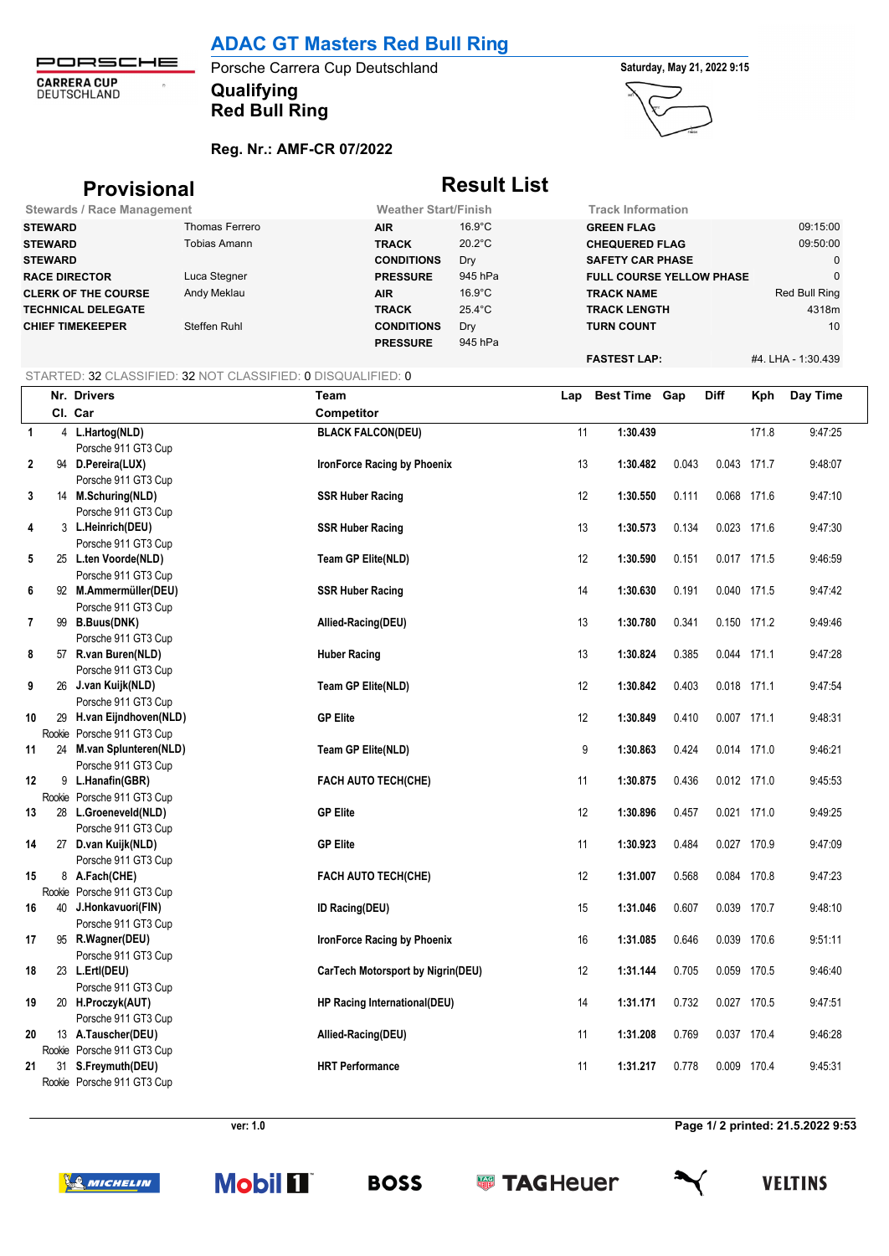PORSCHE **CARRERA CUP**<br>DEUTSCHLAND  $\hat{\sigma}$ 

## **Qualifying** Porsche Carrera Cup Deutschland **Saturday, May 21, 2022 9:15 Red Bull Ring**



**Reg. Nr.: AMF-CR 07/2022**

| <b>Provisional</b>                |                | <b>Result List</b>          |                  |                                 |                    |  |
|-----------------------------------|----------------|-----------------------------|------------------|---------------------------------|--------------------|--|
| <b>Stewards / Race Management</b> |                | <b>Weather Start/Finish</b> |                  | <b>Track Information</b>        |                    |  |
| <b>STEWARD</b>                    | Thomas Ferrero | <b>AIR</b>                  | $16.9^{\circ}$ C | <b>GREEN FLAG</b>               | 09:15:00           |  |
| <b>STEWARD</b>                    | Tobias Amann   | <b>TRACK</b>                | $20.2^{\circ}$ C | <b>CHEQUERED FLAG</b>           | 09:50:00           |  |
| <b>STEWARD</b>                    |                | <b>CONDITIONS</b>           | Dry              | <b>SAFETY CAR PHASE</b>         | 0                  |  |
| <b>RACE DIRECTOR</b>              | Luca Stegner   | <b>PRESSURE</b>             | 945 hPa          | <b>FULL COURSE YELLOW PHASE</b> | $\Omega$           |  |
| <b>CLERK OF THE COURSE</b>        | Andy Meklau    | <b>AIR</b>                  | $16.9^{\circ}$ C | <b>TRACK NAME</b>               | Red Bull Ring      |  |
| <b>TECHNICAL DELEGATE</b>         |                | <b>TRACK</b>                | $25.4^{\circ}$ C | <b>TRACK LENGTH</b>             | 4318m              |  |
| <b>CHIEF TIMEKEEPER</b>           | Steffen Ruhl   | <b>CONDITIONS</b>           | Dry              | <b>TURN COUNT</b>               | 10                 |  |
|                                   |                | <b>PRESSURE</b>             | 945 hPa          |                                 |                    |  |
|                                   |                |                             |                  | <b>FASTEST LAP:</b>             | #4. LHA - 1:30.439 |  |

### STARTED: 32 CLASSIFIED: 32 NOT CLASSIFIED: 0 DISQUALIFIED: 0

|              |        | Nr. Drivers                               | Team                              | Lap | Best Time Gap |       | Diff        | Kph   | Day Time |
|--------------|--------|-------------------------------------------|-----------------------------------|-----|---------------|-------|-------------|-------|----------|
|              |        | Cl. Car                                   | Competitor                        |     |               |       |             |       |          |
| $\mathbf{1}$ |        | 4 L.Hartog(NLD)                           | <b>BLACK FALCON(DEU)</b>          | 11  | 1:30.439      |       |             | 171.8 | 9:47:25  |
|              |        | Porsche 911 GT3 Cup                       |                                   |     |               |       |             |       |          |
| $\mathbf 2$  |        | 94 D.Pereira(LUX)                         | IronForce Racing by Phoenix       | 13  | 1:30.482      | 0.043 | 0.043 171.7 |       | 9:48:07  |
|              |        | Porsche 911 GT3 Cup                       |                                   |     |               |       |             |       |          |
| 3            |        | 14 M.Schuring(NLD)                        | <b>SSR Huber Racing</b>           | 12  | 1:30.550      | 0.111 | 0.068 171.6 |       | 9:47:10  |
|              |        | Porsche 911 GT3 Cup                       |                                   |     |               |       |             |       |          |
| 4            |        | 3 L.Heinrich(DEU)                         | <b>SSR Huber Racing</b>           | 13  | 1:30.573      | 0.134 | 0.023 171.6 |       | 9:47:30  |
|              |        | Porsche 911 GT3 Cup                       |                                   |     |               |       |             |       |          |
| 5            |        | 25 L.ten Voorde(NLD)                      | Team GP Elite(NLD)                | 12  | 1:30.590      | 0.151 | 0.017 171.5 |       | 9:46:59  |
|              |        | Porsche 911 GT3 Cup                       |                                   |     |               |       |             |       |          |
| 6            |        | 92 M.Ammermüller(DEU)                     | <b>SSR Huber Racing</b>           | 14  | 1:30.630      | 0.191 | 0.040 171.5 |       | 9:47:42  |
|              |        | Porsche 911 GT3 Cup                       |                                   |     |               |       |             |       |          |
| 7            |        | 99 B.Buus(DNK)                            | Allied-Racing(DEU)                | 13  | 1:30.780      | 0.341 | 0.150 171.2 |       | 9:49:46  |
|              |        | Porsche 911 GT3 Cup                       |                                   |     |               |       |             |       |          |
| 8            |        | 57 R.van Buren(NLD)                       | <b>Huber Racing</b>               | 13  | 1:30.824      | 0.385 | 0.044 171.1 |       | 9:47:28  |
|              |        | Porsche 911 GT3 Cup                       |                                   |     |               |       |             |       |          |
| 9            |        | 26 J.van Kuijk(NLD)                       | Team GP Elite(NLD)                | 12  | 1:30.842      | 0.403 | 0.018 171.1 |       | 9:47:54  |
|              |        | Porsche 911 GT3 Cup                       |                                   |     |               |       |             |       |          |
| 10           |        | 29 H.van Eijndhoven(NLD)                  | <b>GP Elite</b>                   | 12  | 1:30.849      | 0.410 | 0.007 171.1 |       | 9:48:31  |
|              |        | Rookie Porsche 911 GT3 Cup                |                                   |     |               |       |             |       |          |
| 11           |        | 24 M.van Splunteren(NLD)                  | Team GP Elite(NLD)                | 9   | 1:30.863      | 0.424 | 0.014 171.0 |       | 9:46:21  |
|              |        | Porsche 911 GT3 Cup                       |                                   |     |               |       |             |       |          |
| 12           |        | 9 L.Hanafin(GBR)                          | <b>FACH AUTO TECH(CHE)</b>        | 11  | 1:30.875      | 0.436 | 0.012 171.0 |       | 9:45:53  |
|              |        | Rookie Porsche 911 GT3 Cup                |                                   |     |               |       |             |       |          |
| 13           |        | 28 L.Groeneveld(NLD)                      | <b>GP Elite</b>                   | 12  | 1:30.896      | 0.457 | 0.021 171.0 |       | 9:49:25  |
|              |        | Porsche 911 GT3 Cup                       |                                   |     |               |       |             |       |          |
| 14           |        | 27 D.van Kuijk(NLD)                       | <b>GP Elite</b>                   | 11  | 1:30.923      | 0.484 | 0.027 170.9 |       | 9:47:09  |
|              |        | Porsche 911 GT3 Cup                       |                                   |     |               |       |             |       |          |
| 15           |        | 8 A.Fach(CHE)                             | FACH AUTO TECH(CHE)               | 12  | 1:31.007      | 0.568 | 0.084 170.8 |       | 9:47:23  |
|              |        | Rookie Porsche 911 GT3 Cup                |                                   |     |               |       |             |       |          |
| 16           |        | 40 J.Honkavuori(FIN)                      | ID Racing(DEU)                    | 15  | 1:31.046      | 0.607 | 0.039 170.7 |       | 9:48:10  |
|              |        | Porsche 911 GT3 Cup                       |                                   |     |               |       |             |       |          |
| 17           |        | 95 R.Wagner(DEU)                          | IronForce Racing by Phoenix       | 16  | 1:31.085      | 0.646 | 0.039 170.6 |       | 9:51:11  |
|              |        | Porsche 911 GT3 Cup                       |                                   | 12  | 1:31.144      | 0.705 | 0.059 170.5 |       | 9:46:40  |
| 18           |        | 23 L.Ertl(DEU)                            | CarTech Motorsport by Nigrin(DEU) |     |               |       |             |       |          |
|              |        | Porsche 911 GT3 Cup                       |                                   | 14  |               |       | 0.027 170.5 |       | 9:47:51  |
| 19           |        | 20 H.Proczyk(AUT)                         | HP Racing International(DEU)      |     | 1:31.171      | 0.732 |             |       |          |
| 20           |        | Porsche 911 GT3 Cup<br>13 A.Tauscher(DEU) | Allied-Racing(DEU)                | 11  | 1:31.208      | 0.769 | 0.037 170.4 |       | 9:46:28  |
|              | Rookie | Porsche 911 GT3 Cup                       |                                   |     |               |       |             |       |          |
| 21           |        | 31 S.Freymuth(DEU)                        | <b>HRT</b> Performance            | 11  | 1:31.217      | 0.778 | 0.009 170.4 |       | 9:45:31  |
|              |        | Rookie Porsche 911 GT3 Cup                |                                   |     |               |       |             |       |          |
|              |        |                                           |                                   |     |               |       |             |       |          |

**ver: 1.0 Page 1/ 2 printed: 21.5.2022 9:53**

**SO MICHELIN** 







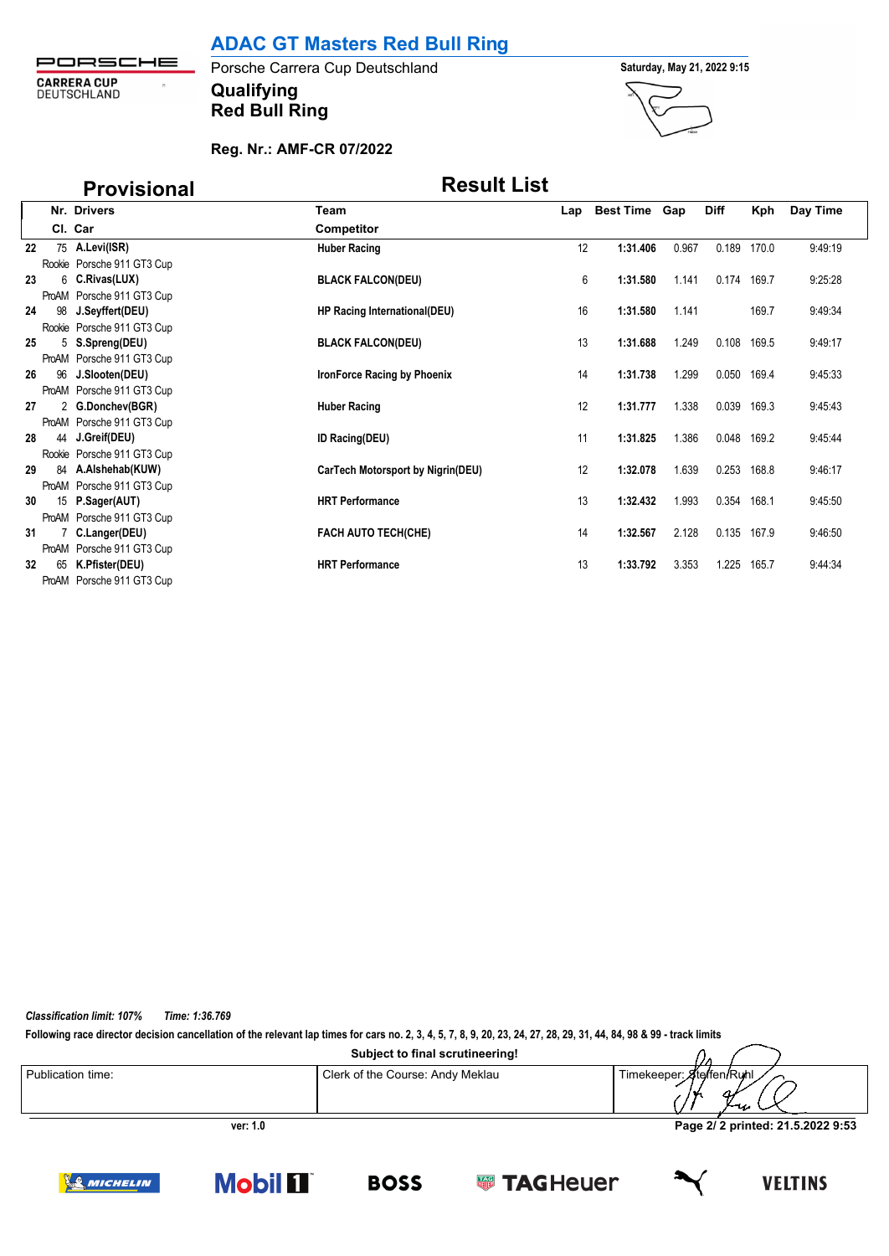| PORSCHE                    |  |
|----------------------------|--|
| CARRERA CUP<br>DEUTSCHLAND |  |

**Qualifying Porsche Carrera Cup Deutschland Saturday, May 21, 2022 9:15 Red Bull Ring**



### **Reg. Nr.: AMF-CR 07/2022**

# **Provisional Result List**

|    |    | Nr. Drivers                                   | Team                              |    | Lap Best Time Gap |       | <b>Diff</b> | Kph   | Day Time |
|----|----|-----------------------------------------------|-----------------------------------|----|-------------------|-------|-------------|-------|----------|
|    |    | Cl. Car                                       | <b>Competitor</b>                 |    |                   |       |             |       |          |
| 22 |    | 75 A.Levi(ISR)                                | <b>Huber Racing</b>               | 12 | 1:31.406          | 0.967 | 0.189       | 170.0 | 9:49:19  |
|    |    | Rookie Porsche 911 GT3 Cup                    |                                   |    |                   |       |             |       |          |
| 23 |    | 6 C.Rivas(LUX)                                | <b>BLACK FALCON(DEU)</b>          | 6  | 1:31.580          | 1.141 | 0.174       | 169.7 | 9:25:28  |
|    |    | ProAM Porsche 911 GT3 Cup                     |                                   |    |                   |       |             |       |          |
| 24 |    | 98 J.Seyffert(DEU)                            | HP Racing International(DEU)      | 16 | 1:31.580          | 1.141 |             | 169.7 | 9:49:34  |
|    |    | Rookie Porsche 911 GT3 Cup                    |                                   |    |                   |       |             |       |          |
| 25 |    | 5 S.Spreng(DEU)                               | <b>BLACK FALCON(DEU)</b>          | 13 | 1:31.688          | 1.249 | 0.108       | 169.5 | 9.49.17  |
|    |    | ProAM Porsche 911 GT3 Cup                     |                                   |    |                   |       |             |       |          |
| 26 |    | 96 J.Slooten(DEU)                             | IronForce Racing by Phoenix       | 14 | 1:31.738          | 1.299 | 0.050       | 169.4 | 9:45:33  |
|    |    | ProAM Porsche 911 GT3 Cup                     |                                   |    |                   |       |             |       |          |
| 27 |    | 2 G.Donchev(BGR)                              | <b>Huber Racing</b>               | 12 | 1:31.777          | 1.338 | 0.039       | 169.3 | 9:45:43  |
|    |    | ProAM Porsche 911 GT3 Cup                     |                                   | 11 |                   |       |             | 169.2 |          |
| 28 |    | 44 J.Greif(DEU)<br>Rookie Porsche 911 GT3 Cup | <b>ID Racing(DEU)</b>             |    | 1:31.825          | 1.386 | 0.048       |       | 9:45:44  |
| 29 |    | 84 A.Alshehab(KUW)                            | CarTech Motorsport by Nigrin(DEU) | 12 | 1:32.078          | 1.639 | 0.253       | 168.8 | 946.17   |
|    |    | ProAM Porsche 911 GT3 Cup                     |                                   |    |                   |       |             |       |          |
| 30 |    | 15 P.Sager(AUT)                               | <b>HRT Performance</b>            | 13 | 1:32.432          | 1.993 | 0.354       | 168.1 | 9.45:50  |
|    |    | ProAM Porsche 911 GT3 Cup                     |                                   |    |                   |       |             |       |          |
| 31 |    | 7 C.Langer(DEU)                               | <b>FACH AUTO TECH(CHE)</b>        | 14 | 1:32.567          | 2.128 | 0.135       | 167.9 | 9:46:50  |
|    |    | ProAM Porsche 911 GT3 Cup                     |                                   |    |                   |       |             |       |          |
| 32 | 65 | K.Pfister(DEU)                                | <b>HRT Performance</b>            | 13 | 1:33.792          | 3.353 | 1.225       | 165.7 | 9:44:34  |
|    |    | ProAM Porsche 911 GT3 Cup                     |                                   |    |                   |       |             |       |          |

*Classification limit: 107% Time: 1:36.769*

**Following race director decision cancellation of the relevant lap times for cars no. 2, 3, 4, 5, 7, 8, 9, 20, 23, 24, 27, 28, 29, 31, 44, 84, 98 & 99 - track limits**

**Mobil 1** 

| Publication time: | Clerk of the Course: Andy Meklau | Timekeeper: Ateffen/Ruhl<br>ا مەسل |
|-------------------|----------------------------------|------------------------------------|
| ver: 1.0          | Page 2/2 printed: 21.5.2022 9:53 |                                    |

**BOSS** 

**SSI TAGHeuer** 

**VELTINS** 

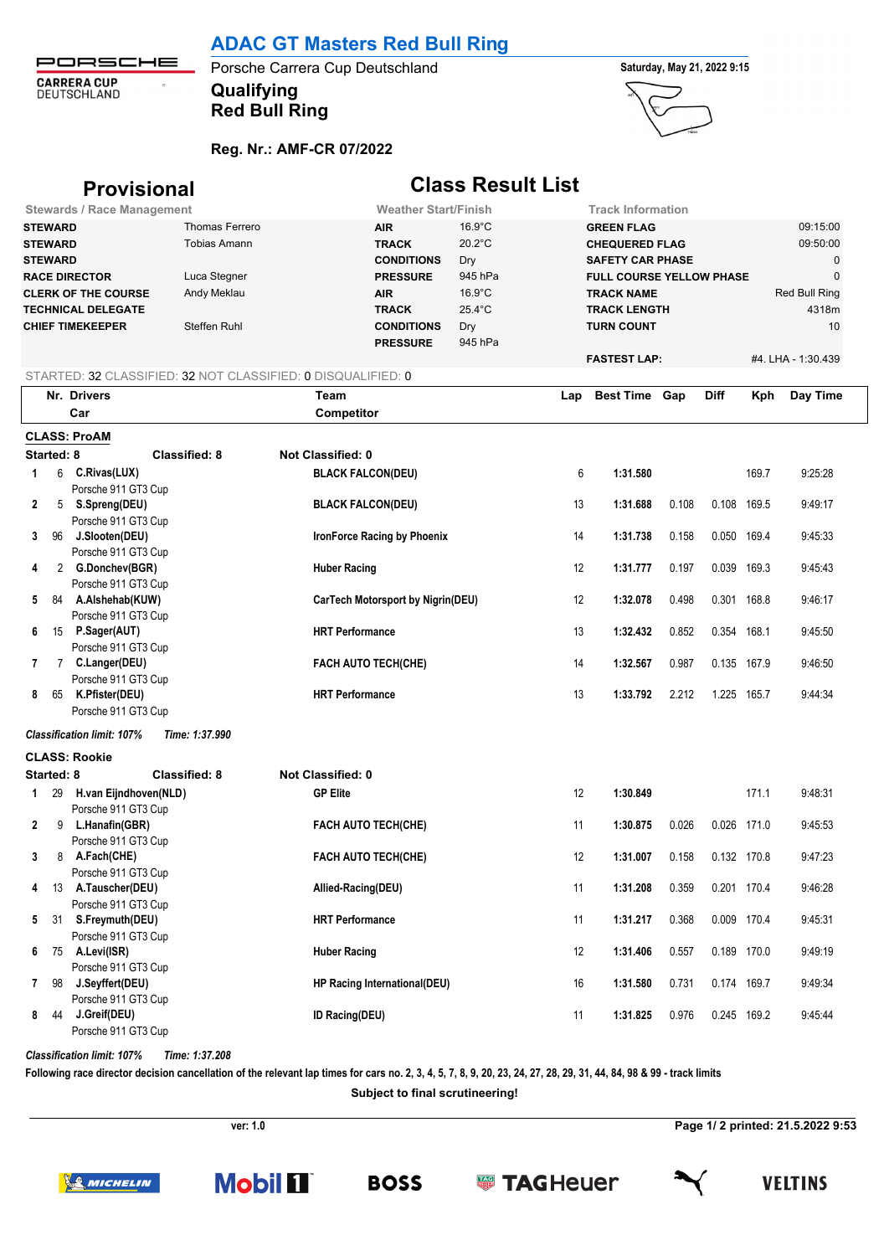PORSCHE **CARRERA CUP**<br>DEUTSCHLAND  $\ddot{\phantom{a}}$ 

# **Qualifying** Porsche Carrera Cup Deutschland **Saturday, May 21, 2022 9:15**

**Red Bull Ring**



### **Reg. Nr.: AMF-CR 07/2022**

|                |            | <b>Provisional</b>                                           |                       | <b>Class Result List</b>                 |                                                               |                  |     |                          |       |             |       |                    |
|----------------|------------|--------------------------------------------------------------|-----------------------|------------------------------------------|---------------------------------------------------------------|------------------|-----|--------------------------|-------|-------------|-------|--------------------|
|                |            | <b>Stewards / Race Management</b>                            |                       |                                          | <b>Weather Start/Finish</b>                                   |                  |     | <b>Track Information</b> |       |             |       |                    |
| <b>STEWARD</b> |            |                                                              | <b>Thomas Ferrero</b> |                                          | <b>AIR</b>                                                    | $16.9^{\circ}$ C |     | <b>GREEN FLAG</b>        |       |             |       | 09:15:00           |
| <b>STEWARD</b> |            |                                                              | <b>Tobias Amann</b>   |                                          | <b>TRACK</b>                                                  | $20.2^{\circ}$ C |     | <b>CHEQUERED FLAG</b>    |       |             |       | 09:50:00           |
| <b>STEWARD</b> |            |                                                              |                       |                                          | <b>CONDITIONS</b>                                             | Dry              |     | <b>SAFETY CAR PHASE</b>  |       |             |       | 0                  |
|                |            | <b>RACE DIRECTOR</b>                                         | Luca Stegner          |                                          | 945 hPa<br><b>PRESSURE</b><br><b>FULL COURSE YELLOW PHASE</b> |                  |     |                          |       | $\mathbf 0$ |       |                    |
|                |            | <b>CLERK OF THE COURSE</b>                                   | Andy Meklau           |                                          | <b>AIR</b>                                                    | $16.9^{\circ}$ C |     | <b>TRACK NAME</b>        |       |             |       | Red Bull Ring      |
|                |            | <b>TECHNICAL DELEGATE</b>                                    |                       |                                          | <b>TRACK</b>                                                  | 25.4°C           |     | <b>TRACK LENGTH</b>      |       |             |       | 4318m              |
|                |            | <b>CHIEF TIMEKEEPER</b>                                      | Steffen Ruhl          |                                          | <b>CONDITIONS</b>                                             | Dry              |     | <b>TURN COUNT</b>        |       |             |       | 10                 |
|                |            |                                                              |                       | <b>PRESSURE</b>                          | 945 hPa                                                       |                  |     |                          |       |             |       |                    |
|                |            |                                                              |                       |                                          |                                                               |                  |     | <b>FASTEST LAP:</b>      |       |             |       | #4. LHA - 1:30.439 |
|                |            | STARTED: 32 CLASSIFIED: 32 NOT CLASSIFIED: 0 DISQUALIFIED: 0 |                       |                                          |                                                               |                  |     |                          |       |             |       |                    |
|                |            | Nr. Drivers                                                  |                       | Team                                     |                                                               |                  | Lap | <b>Best Time Gap</b>     |       | <b>Diff</b> | Kph   | Day Time           |
|                |            | Car                                                          |                       | Competitor                               |                                                               |                  |     |                          |       |             |       |                    |
|                |            | <b>CLASS: ProAM</b>                                          |                       |                                          |                                                               |                  |     |                          |       |             |       |                    |
|                | Started: 8 |                                                              | <b>Classified: 8</b>  | Not Classified: 0                        |                                                               |                  |     |                          |       |             |       |                    |
| 1              |            | 6 C.Rivas(LUX)                                               |                       | <b>BLACK FALCON(DEU)</b>                 |                                                               |                  | 6   | 1:31.580                 |       |             | 169.7 | 9:25:28            |
|                |            | Porsche 911 GT3 Cup                                          |                       |                                          |                                                               |                  |     |                          |       |             |       |                    |
| $\mathbf{2}$   |            | 5 S.Spreng(DEU)                                              |                       | <b>BLACK FALCON(DEU)</b>                 |                                                               |                  | 13  | 1:31.688                 | 0.108 | 0.108       | 169.5 | 9:49:17            |
|                |            | Porsche 911 GT3 Cup                                          |                       |                                          |                                                               |                  |     |                          |       |             |       |                    |
| 3              | 96         | J.Slooten(DEU)                                               |                       |                                          | IronForce Racing by Phoenix                                   |                  | 14  | 1:31.738                 | 0.158 | 0.050 169.4 |       | 9:45:33            |
|                |            | Porsche 911 GT3 Cup                                          |                       |                                          |                                                               |                  |     |                          |       |             |       |                    |
| 4              |            | 2 G.Donchev(BGR)                                             |                       | <b>Huber Racing</b>                      |                                                               |                  | 12  | 1:31.777                 | 0.197 | 0.039 169.3 |       | 9:45:43            |
|                |            | Porsche 911 GT3 Cup                                          |                       |                                          |                                                               |                  |     |                          |       |             |       |                    |
| 5              |            | 84 A.Alshehab(KUW)                                           |                       | <b>CarTech Motorsport by Nigrin(DEU)</b> |                                                               |                  | 12  | 1:32.078                 | 0.498 | 0.301 168.8 |       | 9:46:17            |
|                |            | Porsche 911 GT3 Cup                                          |                       |                                          |                                                               |                  |     |                          |       |             |       |                    |
| 6              |            | 15 P.Sager(AUT)                                              |                       | <b>HRT Performance</b>                   |                                                               |                  | 13  | 1:32.432                 | 0.852 | 0.354       | 168.1 | 9:45:50            |
|                |            | Porsche 911 GT3 Cup                                          |                       |                                          |                                                               |                  |     |                          |       |             |       |                    |
| 7              |            | 7 C.Langer(DEU)                                              |                       |                                          | <b>FACH AUTO TECH(CHE)</b>                                    |                  | 14  | 1:32.567                 | 0.987 | 0.135 167.9 |       | 9:46:50            |
| 8              |            | Porsche 911 GT3 Cup<br>65 K.Pfister(DEU)                     |                       | <b>HRT Performance</b>                   |                                                               |                  | 13  | 1:33.792                 | 2.212 | 1.225 165.7 |       | 9:44:34            |
|                |            | Porsche 911 GT3 Cup                                          |                       |                                          |                                                               |                  |     |                          |       |             |       |                    |
|                |            |                                                              |                       |                                          |                                                               |                  |     |                          |       |             |       |                    |
|                |            | <b>Classification limit: 107%</b>                            | Time: 1:37.990        |                                          |                                                               |                  |     |                          |       |             |       |                    |
|                |            | <b>CLASS: Rookie</b>                                         |                       |                                          |                                                               |                  |     |                          |       |             |       |                    |
|                | Started: 8 |                                                              | <b>Classified: 8</b>  | <b>Not Classified: 0</b>                 |                                                               |                  |     |                          |       |             |       |                    |
| 1              |            | 29 H.van Eijndhoven(NLD)                                     |                       | <b>GP Elite</b>                          |                                                               |                  | 12  | 1:30.849                 |       |             | 171.1 | 9:48:31            |
|                |            | Porsche 911 GT3 Cup                                          |                       |                                          |                                                               |                  |     |                          |       |             |       |                    |
| $\mathbf{2}$   | 9          | L.Hanafin(GBR)                                               |                       |                                          | <b>FACH AUTO TECH(CHE)</b>                                    |                  | 11  | 1:30.875                 | 0.026 | 0.026 171.0 |       | 9:45:53            |
|                |            | Porsche 911 GT3 Cup                                          |                       |                                          | <b>FACH AUTO TECH(CHE)</b>                                    |                  |     |                          |       |             |       |                    |
| 3              |            | 8 A.Fach(CHE)<br>Porsche 911 GT3 Cup                         |                       |                                          |                                                               |                  | 12  | 1:31.007                 | 0.158 | 0.132 170.8 |       | 9:47:23            |
| 4              |            | 13 A.Tauscher(DEU)                                           |                       | Allied-Racing(DEU)                       |                                                               |                  | 11  | 1:31.208                 | 0.359 | 0.201 170.4 |       | 9:46:28            |
|                |            | Porsche 911 GT3 Cup                                          |                       |                                          |                                                               |                  |     |                          |       |             |       |                    |
| 5              |            | 31 S.Freymuth(DEU)                                           |                       | <b>HRT Performance</b>                   |                                                               |                  | 11  | 1:31.217                 | 0.368 | 0.009 170.4 |       | 9:45:31            |
|                |            | Porsche 911 GT3 Cup                                          |                       |                                          |                                                               |                  |     |                          |       |             |       |                    |
| 6              |            | 75 A.Levi(ISR)                                               |                       | <b>Huber Racing</b>                      |                                                               |                  | 12  | 1:31.406                 | 0.557 | 0.189 170.0 |       | 9:49:19            |
|                |            | Porsche 911 GT3 Cup                                          |                       |                                          |                                                               |                  |     |                          |       |             |       |                    |
| 7              | 98         | J.Seyffert(DEU)                                              |                       |                                          | HP Racing International(DEU)                                  |                  | 16  | 1:31.580                 | 0.731 | 0.174 169.7 |       | 9:49:34            |
|                |            | Porsche 911 GT3 Cup                                          |                       |                                          |                                                               |                  |     |                          |       |             |       |                    |
| 8              | 44         | <b>J.Greif(DEU)</b>                                          |                       | ID Racing(DEU)                           |                                                               |                  | 11  | 1:31.825                 | 0.976 | 0.245 169.2 |       | 9:45:44            |
|                |            | Porsche 911 GT3 Cup                                          |                       |                                          |                                                               |                  |     |                          |       |             |       |                    |

*Classification limit: 107% Time: 1:37.208*

**Following race director decision cancellation of the relevant lap times for cars no. 2, 3, 4, 5, 7, 8, 9, 20, 23, 24, 27, 28, 29, 31, 44, 84, 98 & 99 - track limits**

**Subject to final scrutineering!**

**ver: 1.0 Page 1/ 2 printed: 21.5.2022 9:53**







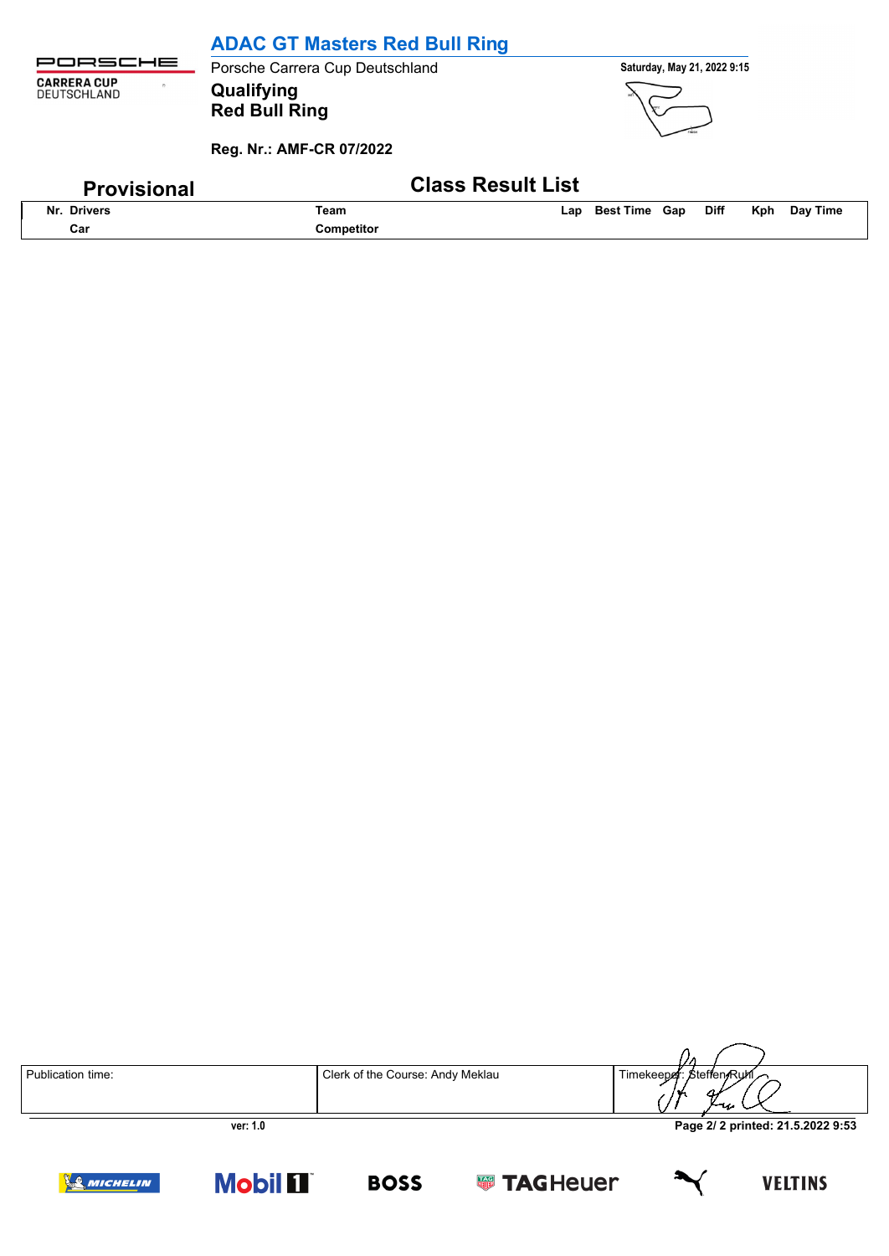|                                                                  | <b>ADAC GT Masters Red Bull Ring</b>                           |                                                               |
|------------------------------------------------------------------|----------------------------------------------------------------|---------------------------------------------------------------|
| <b>JRSCHE</b>                                                    | Porsche Carrera Cup Deutschland                                | Saturday, May 21, 2022 9:15                                   |
| <b>CARRERA CUP</b><br>$\ddot{\phantom{1}}$<br><b>DEUTSCHLAND</b> | Qualifying<br><b>Red Bull Ring</b><br>Reg. Nr.: AMF-CR 07/2022 |                                                               |
| <b>Provisional</b>                                               | <b>Class Result List</b>                                       |                                                               |
| Nr. Drivers                                                      | Team                                                           | Day Time<br><b>Diff</b><br><b>Best Time Gap</b><br>Kph<br>Lap |
| Car                                                              | <b>Competitor</b>                                              |                                                               |

|                   |                                  | i I M                             |
|-------------------|----------------------------------|-----------------------------------|
| Publication time: | Clerk of the Course: Andy Meklau | Timekeeper: Steffen/Ruhl<br>ررس   |
| ver: 1.0          |                                  | Page 2/ 2 printed: 21.5.2022 9:53 |

**VELTINS** 







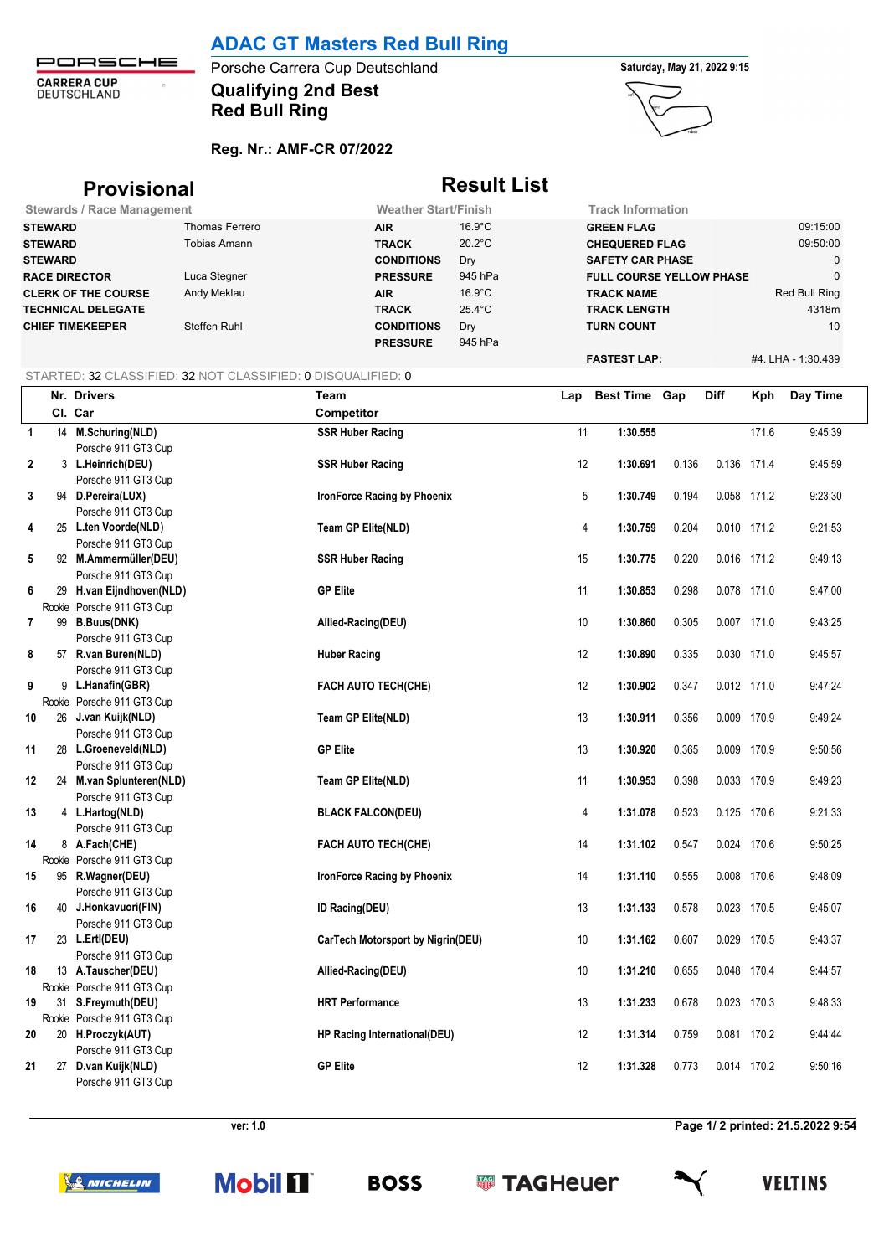PORSCHE **CARRERA CUP**<br>DEUTSCHLAND  $\hat{\sigma}$ 

## **Qualifying 2nd Best Porsche Carrera Cup Deutschland <b>Saturday**, May 21, 2022 9:15 **Red Bull Ring**

### **Reg. Nr.: AMF-CR 07/2022**



## **Provisional Result List**

| <b>Stewards / Race Management</b> |                | <b>Weather Start/Finish</b> |                  | <b>Track Information</b>        |                    |
|-----------------------------------|----------------|-----------------------------|------------------|---------------------------------|--------------------|
| <b>STEWARD</b>                    | Thomas Ferrero | <b>AIR</b>                  | $16.9^{\circ}$ C | <b>GREEN FLAG</b>               | 09:15:00           |
| <b>STEWARD</b>                    | Tobias Amann   | <b>TRACK</b>                | $20.2^{\circ}$ C | <b>CHEQUERED FLAG</b>           | 09:50:00           |
| <b>STEWARD</b>                    |                | <b>CONDITIONS</b>           | Dry              | <b>SAFETY CAR PHASE</b>         |                    |
| <b>RACE DIRECTOR</b>              | Luca Stegner   | <b>PRESSURE</b>             | 945 hPa          | <b>FULL COURSE YELLOW PHASE</b> |                    |
| <b>CLERK OF THE COURSE</b>        | Andy Meklau    | <b>AIR</b>                  | $16.9^{\circ}$ C | <b>TRACK NAME</b>               | Red Bull Ring      |
| <b>TECHNICAL DELEGATE</b>         |                | <b>TRACK</b>                | 25.4°C           | <b>TRACK LENGTH</b>             | 4318m              |
| <b>CHIEF TIMEKEEPER</b>           | Steffen Ruhl   | <b>CONDITIONS</b>           | Dry              | <b>TURN COUNT</b>               | 10                 |
|                                   |                | <b>PRESSURE</b>             | 945 hPa          |                                 |                    |
|                                   |                |                             |                  | <b>FASTEST LAP:</b>             | #4. LHA - 1:30.439 |

### STARTED: 32 CLASSIFIED: 32 NOT CLASSIFIED: 0 DISQUALIFIED: 0

|                         | Nr. Drivers                | Team                                | Lap | <b>Best Time Gap</b> |       | <b>Diff</b> | Kph   | Day Time |
|-------------------------|----------------------------|-------------------------------------|-----|----------------------|-------|-------------|-------|----------|
|                         | Cl. Car                    | Competitor                          |     |                      |       |             |       |          |
| $\overline{1}$          | 14 M.Schuring(NLD)         | <b>SSR Huber Racing</b>             | 11  | 1:30.555             |       |             | 171.6 | 9:45:39  |
|                         | Porsche 911 GT3 Cup        |                                     |     |                      |       |             |       |          |
| 2                       | 3 L.Heinrich(DEU)          | <b>SSR Huber Racing</b>             | 12  | 1:30.691             | 0.136 | 0.136 171.4 |       | 9:45:59  |
|                         | Porsche 911 GT3 Cup        |                                     |     |                      |       |             |       |          |
| 3                       | 94 D.Pereira(LUX)          | IronForce Racing by Phoenix         | 5   | 1:30.749             | 0.194 | 0.058 171.2 |       | 9:23:30  |
|                         | Porsche 911 GT3 Cup        |                                     |     |                      |       |             |       |          |
| 4                       | 25 L.ten Voorde(NLD)       | Team GP Elite(NLD)                  | 4   | 1:30.759             | 0.204 | 0.010 171.2 |       | 9:21:53  |
|                         | Porsche 911 GT3 Cup        |                                     |     |                      |       |             |       |          |
| 5                       | 92 M.Ammermüller(DEU)      | <b>SSR Huber Racing</b>             | 15  | 1:30.775             | 0.220 | 0.016 171.2 |       | 9:49:13  |
|                         | Porsche 911 GT3 Cup        |                                     |     |                      |       |             |       |          |
| 6                       | 29 H.van Eijndhoven(NLD)   | <b>GP Elite</b>                     | 11  | 1:30.853             | 0.298 | 0.078 171.0 |       | 9:47:00  |
|                         | Rookie Porsche 911 GT3 Cup |                                     |     |                      |       |             |       |          |
| $\overline{\mathbf{r}}$ | 99 B.Buus(DNK)             | Allied-Racing(DEU)                  | 10  | 1:30.860             | 0.305 | 0.007 171.0 |       | 9:43:25  |
|                         | Porsche 911 GT3 Cup        |                                     |     |                      |       |             |       |          |
| 8                       | 57 R.van Buren(NLD)        | <b>Huber Racing</b>                 | 12  | 1:30.890             | 0.335 | 0.030 171.0 |       | 9:45:57  |
|                         | Porsche 911 GT3 Cup        |                                     |     |                      |       |             |       |          |
| 9                       | 9 L.Hanafin(GBR)           | <b>FACH AUTO TECH(CHE)</b>          | 12  | 1:30.902             | 0.347 | 0.012 171.0 |       | 9:47:24  |
|                         | Rookie Porsche 911 GT3 Cup |                                     |     |                      |       |             |       |          |
| 10                      | 26 J.van Kuijk(NLD)        | Team GP Elite(NLD)                  | 13  | 1:30.911             | 0.356 | 0.009 170.9 |       | 9:49:24  |
|                         | Porsche 911 GT3 Cup        |                                     |     |                      |       |             |       |          |
| 11                      | 28 L.Groeneveld(NLD)       | <b>GP Elite</b>                     | 13  | 1:30.920             | 0.365 | 0.009 170.9 |       | 9:50:56  |
|                         | Porsche 911 GT3 Cup        |                                     |     |                      |       |             |       |          |
| 12                      | 24 M.van Splunteren(NLD)   | Team GP Elite(NLD)                  | 11  | 1:30.953             | 0.398 | 0.033 170.9 |       | 9:49:23  |
|                         | Porsche 911 GT3 Cup        |                                     |     |                      |       |             |       |          |
| 13                      | 4 L.Hartog(NLD)            | <b>BLACK FALCON(DEU)</b>            | 4   | 1:31.078             | 0.523 | 0.125 170.6 |       | 9:21:33  |
|                         | Porsche 911 GT3 Cup        |                                     |     |                      |       |             |       |          |
| 14                      | 8 A.Fach(CHE)              | FACH AUTO TECH(CHE)                 | 14  | 1:31.102             | 0.547 | 0.024 170.6 |       | 9:50:25  |
|                         | Rookie Porsche 911 GT3 Cup |                                     |     |                      |       |             |       |          |
| 15                      | 95 R.Wagner(DEU)           | IronForce Racing by Phoenix         | 14  | 1:31.110             | 0.555 | 0.008 170.6 |       | 9:48:09  |
|                         | Porsche 911 GT3 Cup        |                                     |     |                      |       |             |       |          |
| 16                      | 40 J.Honkavuori(FIN)       | <b>ID Racing(DEU)</b>               | 13  | 1:31.133             | 0.578 | 0.023 170.5 |       | 9:45:07  |
|                         | Porsche 911 GT3 Cup        |                                     |     |                      |       |             |       |          |
| 17                      | 23 L.Ertl(DEU)             | CarTech Motorsport by Nigrin(DEU)   | 10  | 1:31.162             | 0.607 | 0.029 170.5 |       | 9:43:37  |
|                         | Porsche 911 GT3 Cup        |                                     |     |                      |       |             |       |          |
| 18                      | 13 A.Tauscher(DEU)         | Allied-Racing(DEU)                  | 10  | 1:31.210             | 0.655 | 0.048 170.4 |       | 9:44:57  |
|                         | Rookie Porsche 911 GT3 Cup |                                     |     |                      |       |             |       |          |
| 19                      | 31 S.Freymuth(DEU)         | <b>HRT</b> Performance              | 13  | 1:31.233             | 0.678 | 0.023 170.3 |       | 9:48:33  |
|                         | Rookie Porsche 911 GT3 Cup |                                     |     |                      |       |             |       |          |
| 20                      | 20 H.Proczyk(AUT)          | <b>HP Racing International(DEU)</b> | 12  | 1:31.314             | 0.759 | 0.081 170.2 |       | 9:44:44  |
|                         | Porsche 911 GT3 Cup        |                                     |     |                      |       |             |       |          |
| 21                      | 27 D.van Kuijk(NLD)        | <b>GP Elite</b>                     | 12  | 1:31.328             | 0.773 | 0.014 170.2 |       | 9:50:16  |
|                         | Porsche 911 GT3 Cup        |                                     |     |                      |       |             |       |          |

**ver: 1.0 Page 1/ 2 printed: 21.5.2022 9:54**

**SO MICHELIN** 



**BOSS** 

**Sold TAGHeuer** 



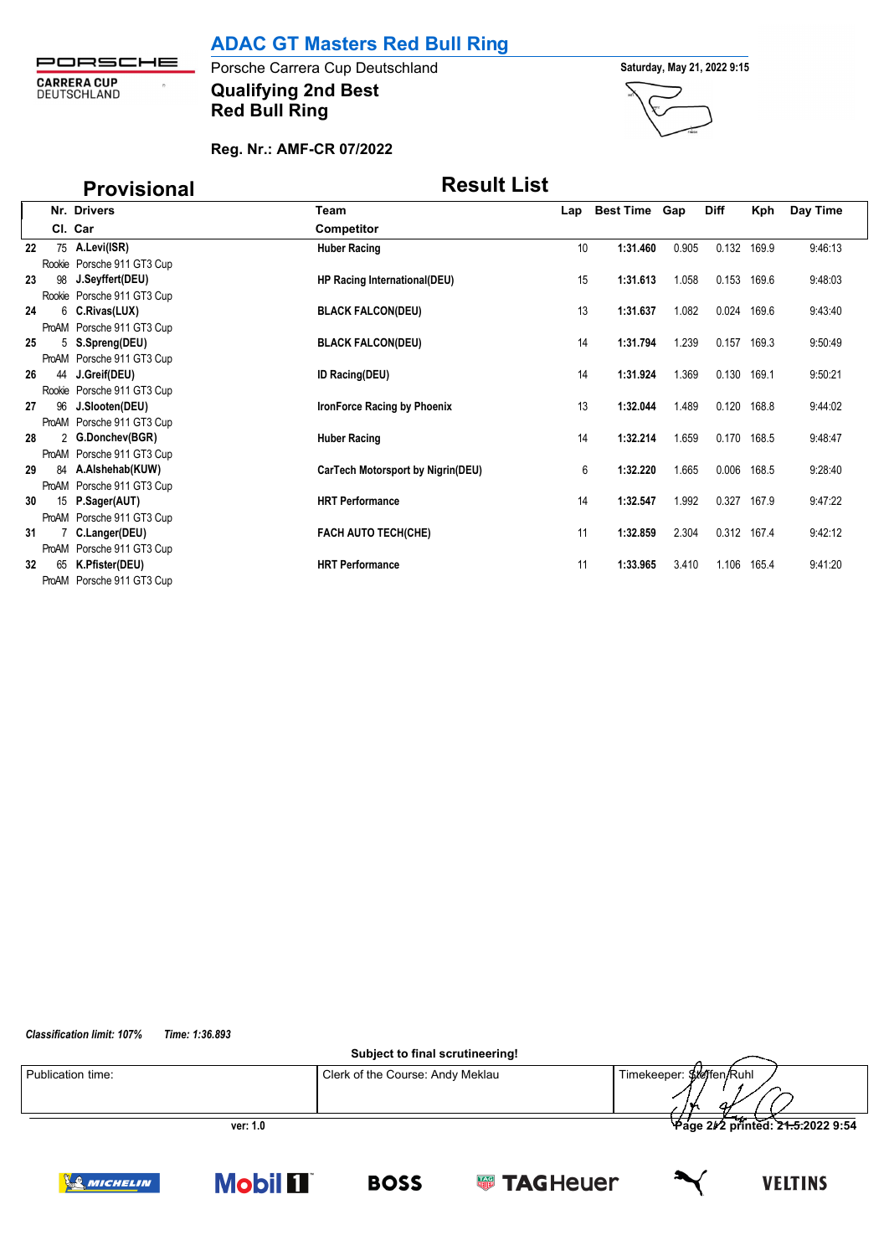

**Qualifying 2nd Best** Porsche Carrera Cup Deutschland **Saturday, May 21, 2022 9:15 Red Bull Ring**



### **Reg. Nr.: AMF-CR 07/2022**

|    |    | <b>Provisional</b>         | <b>Result List</b>                |     |                      |       |             |             |          |  |
|----|----|----------------------------|-----------------------------------|-----|----------------------|-------|-------------|-------------|----------|--|
|    |    | Nr. Drivers                | Team                              | Lap | <b>Best Time Gap</b> |       | <b>Diff</b> | Kph         | Day Time |  |
|    |    | Cl. Car                    | <b>Competitor</b>                 |     |                      |       |             |             |          |  |
| 22 |    | 75 A.Levi(ISR)             | <b>Huber Racing</b>               | 10  | 1:31.460             | 0.905 | 0.132       | 169.9       | 9:46:13  |  |
|    |    | Rookie Porsche 911 GT3 Cup |                                   |     |                      |       |             |             |          |  |
| 23 |    | 98 J.Seyffert(DEU)         | HP Racing International(DEU)      | 15  | 1:31.613             | 1.058 | 0.153       | 169.6       | 9:48:03  |  |
|    |    | Rookie Porsche 911 GT3 Cup |                                   |     |                      |       |             |             |          |  |
| 24 |    | 6 C.Rivas(LUX)             | <b>BLACK FALCON(DEU)</b>          | 13  | 1:31.637             | 1.082 | 0.024       | 169.6       | 9:43:40  |  |
|    |    | ProAM Porsche 911 GT3 Cup  |                                   |     |                      |       |             |             |          |  |
| 25 |    | 5 S.Spreng(DEU)            | <b>BLACK FALCON(DEU)</b>          | 14  | 1:31.794             | 1.239 | 0.157       | 169.3       | 9:50:49  |  |
|    |    | ProAM Porsche 911 GT3 Cup  |                                   |     |                      |       |             |             |          |  |
| 26 |    | 44 J.Greif(DEU)            | <b>ID Racing(DEU)</b>             | 14  | 1:31.924             | 1.369 | 0.130       | 169.1       | 9:50:21  |  |
|    |    | Rookie Porsche 911 GT3 Cup |                                   |     |                      |       |             |             |          |  |
| 27 |    | 96 J.Slooten(DEU)          | IronForce Racing by Phoenix       | 13  | 1:32.044             | 1.489 | 0.120       | 168.8       | 9:44:02  |  |
|    |    | ProAM Porsche 911 GT3 Cup  |                                   |     |                      |       |             |             |          |  |
| 28 |    | 2 G.Donchev(BGR)           | <b>Huber Racing</b>               | 14  | 1:32.214             | 1.659 | 0.170       | 168.5       | 9:48:47  |  |
|    |    | ProAM Porsche 911 GT3 Cup  |                                   |     |                      |       |             |             |          |  |
| 29 |    | 84 A.Alshehab(KUW)         | CarTech Motorsport by Nigrin(DEU) | 6   | 1:32.220             | 1.665 | 0.006       | 168.5       | 9:28:40  |  |
|    |    | ProAM Porsche 911 GT3 Cup  |                                   |     |                      |       |             |             |          |  |
| 30 |    | 15 P.Sager(AUT)            | <b>HRT Performance</b>            | 14  | 1:32.547             | 1.992 | 0.327       | 167.9       | 9:47:22  |  |
|    |    | ProAM Porsche 911 GT3 Cup  |                                   |     |                      |       |             |             |          |  |
| 31 |    | 7 C.Langer(DEU)            | <b>FACH AUTO TECH(CHE)</b>        | 11  | 1:32.859             | 2.304 |             | 0.312 167.4 | 9:42:12  |  |
|    |    | ProAM Porsche 911 GT3 Cup  |                                   |     |                      |       |             |             |          |  |
| 32 | 65 | K.Pfister(DEU)             | <b>HRT Performance</b>            | 11  | 1:33.965             | 3.410 | 1.106       | 165.4       | 9.41:20  |  |
|    |    | ProAM Porsche 911 GT3 Cup  |                                   |     |                      |       |             |             |          |  |

*Classification limit: 107% Time: 1:36.893*

**Subject to final scrutineering!**

**BOSS** 



**SUPPER TAGHEUER** 

**VELTINS** 



**Mobil 1**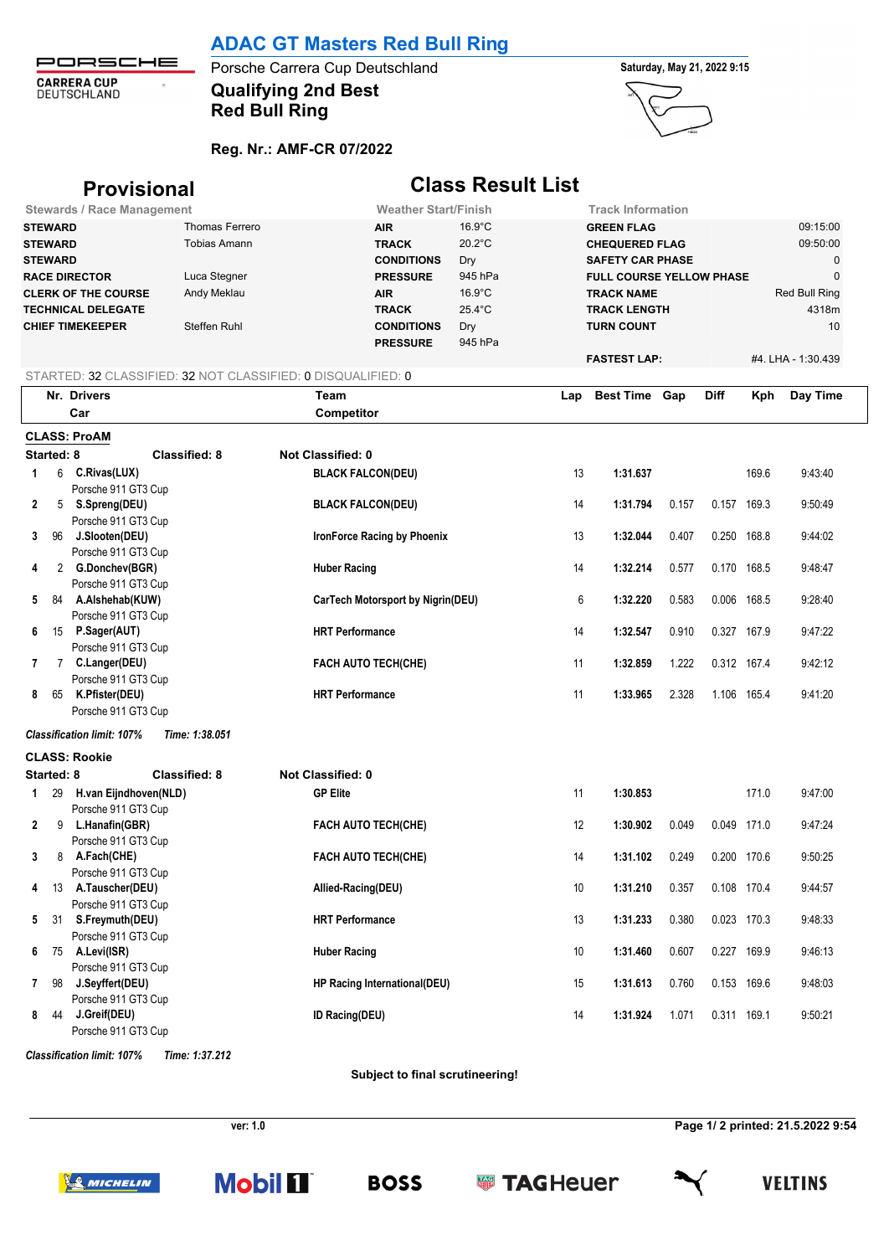PORSCHE **CARRERA CUP**<br>DEUTSCHLAND  $\hat{\sigma}$ 

## **Qualifying 2nd Best** Porsche Carrera Cup Deutschland **Saturday, May 21, 2022 9:15 Red Bull Ring**



## **Reg. Nr.: AMF-CR 07/2022**

|                                                                                                                                                                                                               | <b>Provisional</b>                                           |                      | <b>Class Result List</b>          |                                                                                                                                                                                          |                |     |                                                                                                                                                      |       |             |       |                                                                    |
|---------------------------------------------------------------------------------------------------------------------------------------------------------------------------------------------------------------|--------------------------------------------------------------|----------------------|-----------------------------------|------------------------------------------------------------------------------------------------------------------------------------------------------------------------------------------|----------------|-----|------------------------------------------------------------------------------------------------------------------------------------------------------|-------|-------------|-------|--------------------------------------------------------------------|
|                                                                                                                                                                                                               | <b>Stewards / Race Management</b>                            |                      |                                   | <b>Weather Start/Finish</b>                                                                                                                                                              |                |     | <b>Track Information</b>                                                                                                                             |       |             |       |                                                                    |
| Thomas Ferrero<br><b>STEWARD</b><br><b>Tobias Amann</b><br><b>STEWARD</b><br><b>STEWARD</b><br><b>RACE DIRECTOR</b><br>Luca Stegner<br>Andy Meklau<br><b>CLERK OF THE COURSE</b><br><b>TECHNICAL DELEGATE</b> |                                                              |                      |                                   | $16.9^{\circ}$ C<br><b>AIR</b><br>20.2°C<br><b>TRACK</b><br><b>CONDITIONS</b><br>Dry<br>945 hPa<br><b>PRESSURE</b><br>$16.9^{\circ}$ C<br><b>AIR</b><br>$25.4^{\circ}$ C<br><b>TRACK</b> |                |     | <b>GREEN FLAG</b><br><b>CHEQUERED FLAG</b><br><b>SAFETY CAR PHASE</b><br><b>FULL COURSE YELLOW PHASE</b><br><b>TRACK NAME</b><br><b>TRACK LENGTH</b> |       |             |       | 09:15:00<br>09:50:00<br>0<br>$\mathbf 0$<br>Red Bull Ring<br>4318m |
| <b>CHIEF TIMEKEEPER</b><br>Steffen Ruhl                                                                                                                                                                       |                                                              |                      |                                   | <b>CONDITIONS</b><br><b>PRESSURE</b>                                                                                                                                                     | Dry<br>945 hPa |     | <b>TURN COUNT</b><br><b>FASTEST LAP:</b>                                                                                                             |       |             |       | 10<br>#4. LHA - 1:30.439                                           |
|                                                                                                                                                                                                               | STARTED: 32 CLASSIFIED: 32 NOT CLASSIFIED: 0 DISQUALIFIED: 0 |                      |                                   |                                                                                                                                                                                          |                |     |                                                                                                                                                      |       |             |       |                                                                    |
|                                                                                                                                                                                                               | Nr. Drivers                                                  |                      | Team                              |                                                                                                                                                                                          |                | Lap | <b>Best Time Gap</b>                                                                                                                                 |       | <b>Diff</b> | Kph   | Day Time                                                           |
|                                                                                                                                                                                                               | Car                                                          |                      | Competitor                        |                                                                                                                                                                                          |                |     |                                                                                                                                                      |       |             |       |                                                                    |
|                                                                                                                                                                                                               | <b>CLASS: ProAM</b>                                          |                      |                                   |                                                                                                                                                                                          |                |     |                                                                                                                                                      |       |             |       |                                                                    |
| Started: 8                                                                                                                                                                                                    |                                                              | <b>Classified: 8</b> | Not Classified: 0                 |                                                                                                                                                                                          |                |     |                                                                                                                                                      |       |             |       |                                                                    |
| 1                                                                                                                                                                                                             | 6 C.Rivas(LUX)<br>Porsche 911 GT3 Cup                        |                      | <b>BLACK FALCON(DEU)</b>          |                                                                                                                                                                                          |                | 13  | 1:31.637                                                                                                                                             |       |             | 169.6 | 9:43:40                                                            |
| 2                                                                                                                                                                                                             | 5 S.Spreng(DEU)<br>Porsche 911 GT3 Cup                       |                      | <b>BLACK FALCON(DEU)</b>          |                                                                                                                                                                                          |                | 14  | 1:31.794                                                                                                                                             | 0.157 | 0.157 169.3 |       | 9:50:49                                                            |
| 3                                                                                                                                                                                                             | 96 J.Slooten(DEU)<br>Porsche 911 GT3 Cup                     |                      |                                   | IronForce Racing by Phoenix                                                                                                                                                              |                | 13  | 1:32.044                                                                                                                                             | 0.407 | 0.250 168.8 |       | 9:44:02                                                            |
| 4                                                                                                                                                                                                             | 2 G.Donchev(BGR)<br>Porsche 911 GT3 Cup                      |                      | <b>Huber Racing</b>               |                                                                                                                                                                                          |                | 14  | 1:32.214                                                                                                                                             | 0.577 | 0.170 168.5 |       | 9:48:47                                                            |
| 5                                                                                                                                                                                                             | 84 A.Alshehab(KUW)<br>Porsche 911 GT3 Cup                    |                      | CarTech Motorsport by Nigrin(DEU) |                                                                                                                                                                                          |                | 6   | 1:32.220                                                                                                                                             | 0.583 | 0.006 168.5 |       | 9:28:40                                                            |
| 6                                                                                                                                                                                                             | 15 P.Sager(AUT)<br>Porsche 911 GT3 Cup                       |                      | <b>HRT</b> Performance            |                                                                                                                                                                                          |                | 14  | 1:32.547                                                                                                                                             | 0.910 | 0.327 167.9 |       | 9:47:22                                                            |
| 7                                                                                                                                                                                                             | 7 C.Langer(DEU)<br>Porsche 911 GT3 Cup                       |                      |                                   | <b>FACH AUTO TECH(CHE)</b>                                                                                                                                                               |                | 11  | 1:32.859                                                                                                                                             | 1.222 | 0.312 167.4 |       | 9:42:12                                                            |
| 8                                                                                                                                                                                                             | 65 K. Pfister (DEU)<br>Porsche 911 GT3 Cup                   |                      | <b>HRT Performance</b>            |                                                                                                                                                                                          |                | 11  | 1:33.965                                                                                                                                             | 2.328 | 1.106 165.4 |       | 9:41:20                                                            |
|                                                                                                                                                                                                               | <b>Classification limit: 107%</b>                            | Time: 1:38.051       |                                   |                                                                                                                                                                                          |                |     |                                                                                                                                                      |       |             |       |                                                                    |
|                                                                                                                                                                                                               | <b>CLASS: Rookie</b>                                         |                      |                                   |                                                                                                                                                                                          |                |     |                                                                                                                                                      |       |             |       |                                                                    |
| Started: 8                                                                                                                                                                                                    |                                                              | <b>Classified: 8</b> | <b>Not Classified: 0</b>          |                                                                                                                                                                                          |                |     |                                                                                                                                                      |       |             |       |                                                                    |
| 29<br>$\mathbf{1}$                                                                                                                                                                                            | H.van Eijndhoven(NLD)<br>Porsche 911 GT3 Cup                 |                      | <b>GP Elite</b>                   |                                                                                                                                                                                          |                | 11  | 1:30.853                                                                                                                                             |       |             | 171.0 | 9:47:00                                                            |
| $\mathbf{2}$<br>9                                                                                                                                                                                             | L.Hanafin(GBR)<br>Porsche 911 GT3 Cup                        |                      |                                   | <b>FACH AUTO TECH(CHE)</b>                                                                                                                                                               |                | 12  | 1:30.902                                                                                                                                             | 0.049 | 0.049 171.0 |       | 9:47:24                                                            |
| 3<br>8                                                                                                                                                                                                        | A.Fach(CHE)<br>Porsche 911 GT3 Cup                           |                      |                                   | FACH AUTO TECH(CHE)                                                                                                                                                                      |                | 14  | 1:31.102                                                                                                                                             | 0.249 | 0.200 170.6 |       | 9:50:25                                                            |
| 4                                                                                                                                                                                                             | 13 A.Tauscher(DEU)<br>Porsche 911 GT3 Cup                    |                      | Allied-Racing(DEU)                |                                                                                                                                                                                          |                | 10  | 1:31.210                                                                                                                                             | 0.357 | 0.108 170.4 |       | 9:44:57                                                            |
| 5                                                                                                                                                                                                             | 31 S.Freymuth(DEU)<br>Porsche 911 GT3 Cup                    |                      | <b>HRT</b> Performance            |                                                                                                                                                                                          |                | 13  | 1:31.233                                                                                                                                             | 0.380 | 0.023 170.3 |       | 9:48:33                                                            |
| 6                                                                                                                                                                                                             | 75 A.Levi(ISR)<br>Porsche 911 GT3 Cup                        |                      | <b>Huber Racing</b>               |                                                                                                                                                                                          |                | 10  | 1:31.460                                                                                                                                             | 0.607 | 0.227 169.9 |       | 9:46:13                                                            |
| 7<br>98                                                                                                                                                                                                       | J.Seyffert(DEU)<br>Porsche 911 GT3 Cup                       |                      |                                   | HP Racing International(DEU)                                                                                                                                                             |                | 15  | 1:31.613                                                                                                                                             | 0.760 | 0.153 169.6 |       | 9:48:03                                                            |
| 8<br>44                                                                                                                                                                                                       | J.Greif(DEU)<br>Porsche 911 GT3 Cup                          |                      | ID Racing(DEU)                    |                                                                                                                                                                                          |                | 14  | 1:31.924                                                                                                                                             | 1.071 | 0.311 169.1 |       | 9:50:21                                                            |

**Subject to final scrutineering!**

**ver: 1.0 Page 1/ 2 printed: 21.5.2022 9:54**

**WE MICHELIN** 

*Classification limit: 107% Time: 1:37.212*



**BOSS** 





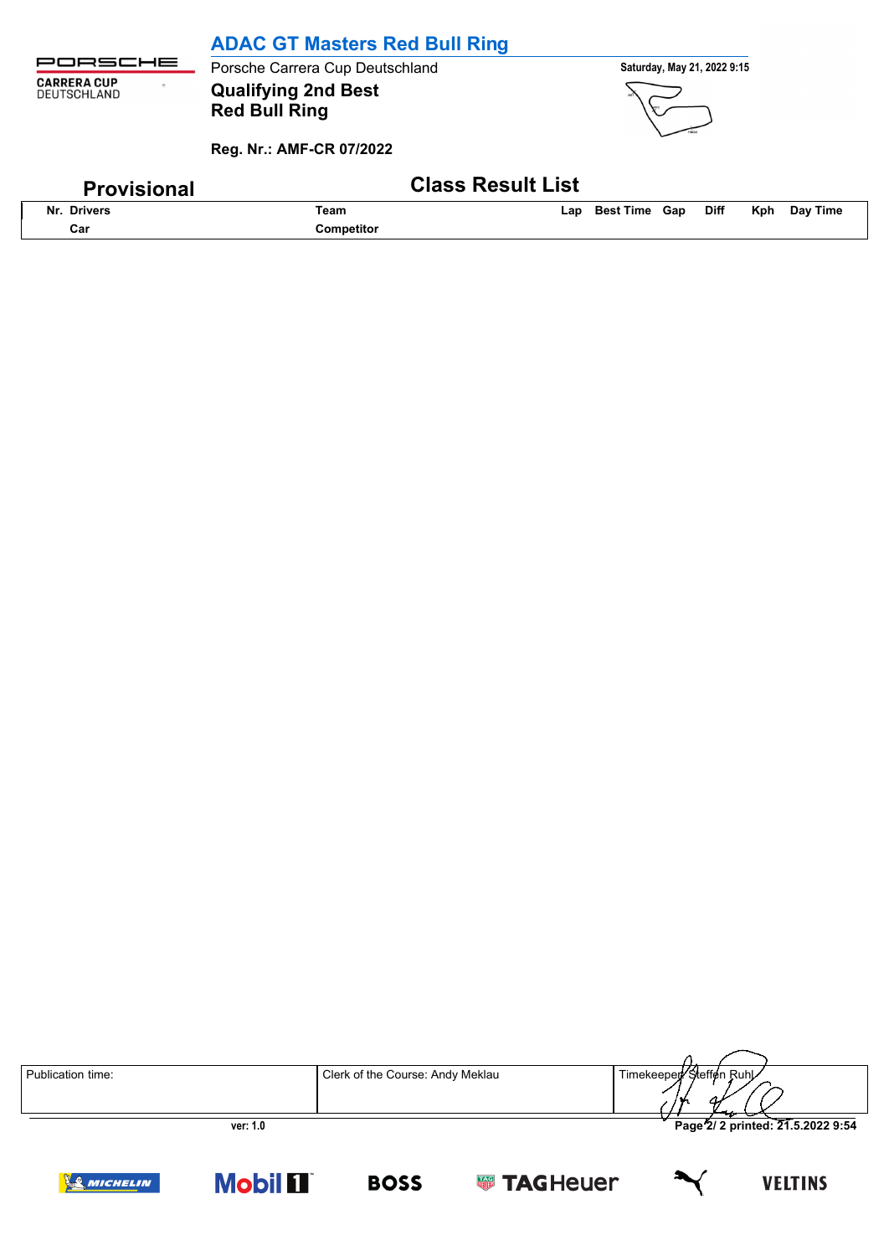|                                                              | <b>ADAC GT Masters Red Bull Ring</b>                                           |                                                        |
|--------------------------------------------------------------|--------------------------------------------------------------------------------|--------------------------------------------------------|
| JRSCHE                                                       | Porsche Carrera Cup Deutschland                                                | Saturday, May 21, 2022 9:15                            |
| <b>CARRERA CUP</b><br>$\sum_{i=1}^{n}$<br><b>DEUTSCHLAND</b> | <b>Qualifying 2nd Best</b><br><b>Red Bull Ring</b><br>Reg. Nr.: AMF-CR 07/2022 |                                                        |
|                                                              | <b>Class Result List</b>                                                       |                                                        |
| <b>Provisional</b>                                           |                                                                                |                                                        |
| Nr. Drivers                                                  | Team                                                                           | Day Time<br><b>Best Time Gap</b><br>Diff<br>Kph<br>Lap |
| Car                                                          | Competitor                                                                     |                                                        |

| Publication time: | Clerk of the Course: Andy Meklau | Timekeeper Steffen Ruhl<br>.                  |
|-------------------|----------------------------------|-----------------------------------------------|
| ver: 1.0          |                                  | Page <sup>2</sup> / 2 printed: 21.5.2022 9:54 |

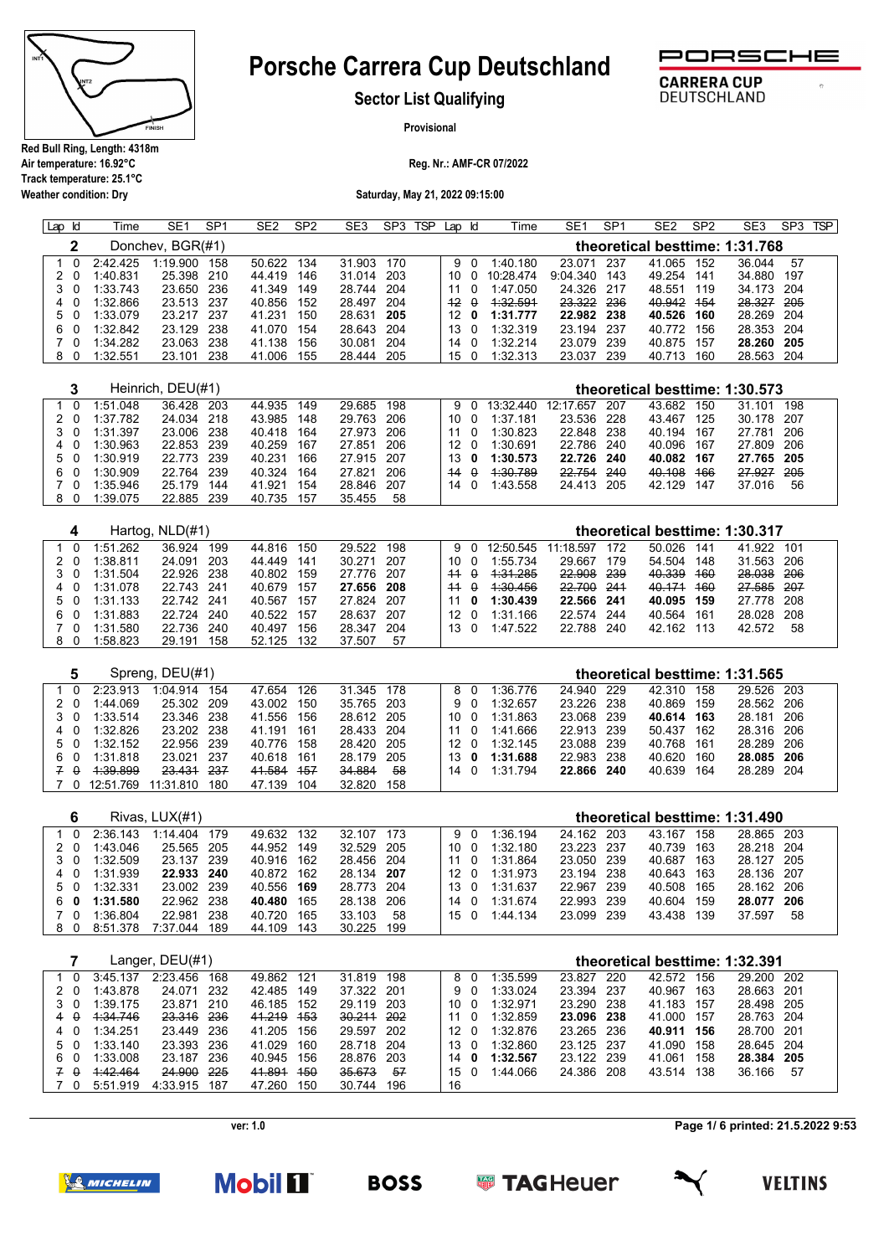

**Weather condition: Dry**

# **Porsche Carrera Cup Deutschland**



 $\overline{a}$ 

**CARRERA CUP** 

DEUTSCHLAND

**Sector List Qualifying**

**Provisional**

**Reg. Nr.: AMF-CR 07/2022**

**Saturday, May 21, 2022 09:15:00**

| $Lap$ $Id$ |          | Time     | SE <sub>1</sub>   | SP <sub>1</sub> | SE <sub>2</sub> | SP <sub>2</sub> | SE <sub>3</sub> | SP3 | <b>TSP</b> | Lap Id |          | Time      | SE <sub>1</sub> | SP <sub>1</sub> | SE <sub>2</sub>                | SP <sub>2</sub> | SE <sub>3</sub> | SP <sub>3</sub> | <b>TSP</b> |
|------------|----------|----------|-------------------|-----------------|-----------------|-----------------|-----------------|-----|------------|--------|----------|-----------|-----------------|-----------------|--------------------------------|-----------------|-----------------|-----------------|------------|
|            | 2        |          | Donchev, BGR(#1)  |                 |                 |                 |                 |     |            |        |          |           |                 |                 | theoretical besttime: 1:31.768 |                 |                 |                 |            |
|            | - 0      | 2:42.425 | 1:19.900          | 158             | 50.622          | 134             | 31.903          | 170 |            | 9      | - 0      | 1:40.180  | 23.071          | 237             | 41.065                         | 152             | 36.044          | 57              |            |
|            | - 0      | 1:40.831 | 25.398            | 210             | 44.419          | 146             | 31.014          | 203 |            | 10     |          | 10:28.474 | 9:04.340        | 143             | 49.254                         | 141             | 34.880          | 197             |            |
|            | 3 O      | 1:33.743 | 23.650            | 236             | 41.349          | 149             | 28.744          | 204 |            | 11     | 0        | 1:47.050  | 24.326          | 217             | 48.551                         | 119             | 34.173          | 204             |            |
| 4          |          | 1:32.866 | 23.513            | 237             | 40.856          | 152             | 28.497          | 204 |            | $+2$   | 0        | 1:32.591  | 23.322          | 236             | 40.942                         | 454             | 28.327          | -205            |            |
| 5.         |          | 1:33.079 | 23.217            | 237             | 41.231          | 150             | 28.631          | 205 |            | 12     | 0        | 1:31.777  | 22.982          | -238            | 40.526                         | 160             | 28.269 204      |                 |            |
| 6.         | $\Omega$ | 1:32.842 | 23.129            | 238             | 41.070          | 154             | 28.643          | 204 |            | 13     | $\Omega$ | 1:32.319  | 23.194          | 237             | 40.772                         | 156             | 28.353          | 204             |            |
|            | - റ      | 1:34.282 | 23.063            | 238             | 41.138          | 156             | 30.081          | 204 |            | 14     |          | 1:32.214  | 23.079          | 239             | 40.875                         | 157             | 28.260          | -205            |            |
| 8          | $\Omega$ | 1:32.551 | 23.101            | 238             | 41.006          | 155             | 28.444          | 205 |            | 15     | $\Omega$ | 1:32.313  | 23.037          | 239             | 40.713                         | 160             | 28.563          | 204             |            |
|            |          |          |                   |                 |                 |                 |                 |     |            |        |          |           |                 |                 |                                |                 |                 |                 |            |
|            | 3        |          | Heinrich, DEU(#1) |                 |                 |                 |                 |     |            |        |          |           |                 |                 | theoretical besttime: 1:30.573 |                 |                 |                 |            |
|            | 0        | 1:51.048 | 36.428            | 203             | 44.935          | 149             | 29.685          | 198 |            | 9      |          | 13:32.440 | 12:17.657       | 207             | 43.682                         | 150             | 31.101          | 198             |            |
|            | - 0      | 1:37.782 | 24.034            | 218             | 43.985          | 148             | 29.763          | 206 |            | 10     |          | 1:37.181  | 23.536          | 228             | 43.467                         | 125             | 30.178          | 207             |            |

|     | 1.91.192     | $-1.00 - 6.0$ | $\tau$ $\sigma$ | $100 - 100$   | $\mathbf{u}$ | .                           | LU.UUU LLU | TW. TWI<br>$\sim$ | $0.93110 - 0.001$ |
|-----|--------------|---------------|-----------------|---------------|--------------|-----------------------------|------------|-------------------|-------------------|
|     | 3 0 1:31.397 | 23.006 238    | 40.418 164      | 27.973 206    |              | $11 \quad 0 \quad 1:30.823$ | 22.848 238 | 40.194 167        | 27.781 206        |
|     | 4 0 1:30.963 | 22.853 239    | 40.259 167      | 27.851 206    |              | 12 0 1:30.691               | 22.786 240 | 40.096 167        | 27.809 206        |
|     | 5 0 1:30.919 | 22.773 239    | 40.231 166      | 27.915 207    |              | 13 0 1:30.573               | 22.726 240 | 40.082 167        | 27.765 205        |
|     | 6 0 1 30 909 | 22.764 239    | 40.324 164      | 27.821 206    | $44 \theta$  | 4:30.789                    | 22.754 240 | 40.108 166        | 27.927 205        |
|     | 7 0 1:35 946 | 25.179 144    | 41.921 154      | 28.846 207    |              | 14 0 1:43.558               | 24.413 205 | 42.129 147        | 37.016 56         |
| 8 O | 1:39.075     | 22.885 239    | 40.735 157      | 35.455<br>-58 |              |                             |            |                   |                   |

|          |          | Hartog, NLD(#1) |     |        |     |            |     |                 |          |           |            |       | theoretical besttime: 1:30.317 |     |            |      |  |
|----------|----------|-----------------|-----|--------|-----|------------|-----|-----------------|----------|-----------|------------|-------|--------------------------------|-----|------------|------|--|
| $\Omega$ | 1:51.262 | 36.924          | 199 | 44.816 | 150 | 29.522     | 198 | 9               |          | 12:50.545 | 11:18.597  | - 172 | 50.026                         | 141 | 41.922     | 101  |  |
| 20       | 1:38.811 | 24.091          | 203 | 44.449 | 141 | 30 271     | 207 | 10 O            |          | 1:55.734  | 29.667     | 179   | 54.504                         | 148 | 31.563     | -206 |  |
| 3 O      | 1:31.504 | 22.926 238      |     | 40.802 | 159 | 27 776 207 |     | $+4$            | $\theta$ | 1:31.285  | 22.908 239 |       | 40.339                         | 460 | 28.038     | 206  |  |
| 4 0      | 1:31.078 | 22.743 241      |     | 40.679 | 157 | 27.656 208 |     | $44 \theta$     |          | 4:30.456  | 22.700 241 |       | 40.171 160                     |     | 27.585     | -207 |  |
| 5 0      | 1:31.133 | 22 742 241      |     | 40.567 | 157 | 27.824 207 |     |                 | 0        | 1:30.439  | 22.566 241 |       | 40.095 159                     |     | 27.778 208 |      |  |
| 60       | 1:31.883 | 22 724          | 240 | 40.522 | 157 | 28.637     | 207 | 12 <sub>0</sub> |          | 1:31.166  | 22.574 244 |       | 40.564                         | 161 | 28.028 208 |      |  |
| $\Omega$ | 1:31.580 | 22.736          | 240 | 40.497 | 156 | 28.347     | 204 | $13\quadOmega$  |          | 1:47.522  | 22.788 240 |       | 42.162                         | 113 | 42.572     | 58   |  |
| 80       | 1:58.823 | 29.191          | 158 | 52.125 | 132 | 37.507     | 57  |                 |          |           |            |       |                                |     |            |      |  |

|            |           | Spreng, DEU(#1) |      |            |     |            |     |     |      |     |          |            |       | theoretical besttime: 1:31.565 |     |            |       |  |
|------------|-----------|-----------------|------|------------|-----|------------|-----|-----|------|-----|----------|------------|-------|--------------------------------|-----|------------|-------|--|
|            | 2:23.913  | 1:04.914        | 154  | 47.654     | 126 | 31.345 178 |     |     | 8.   | - 0 | 1:36.776 | 24.940 229 |       | 42.310                         | 158 | 29.526 203 |       |  |
| 20         | 1:44.069  | 25.302 209      |      | 43.002     | 150 | 35.765 203 |     |     | 9 O  |     | 1:32.657 | 23.226 238 |       | 40.869                         | 159 | 28.562     | -206  |  |
| 3 O        | 1:33.514  | 23.346 238      |      | 41.556     | 156 | 28.612 205 |     |     | 10 O |     | 1:31.863 | 23.068     | 239   | 40.614 163                     |     | 28.181     | - 206 |  |
| 4 0        | 1:32.826  | 23.202 238      |      | 41.191     | 161 | 28.433 204 |     | 11  |      | റ   | 1:41.666 | 22.913 239 |       | 50 437                         | 162 | 28.316 206 |       |  |
| 5 0        | 1:32.152  | 22.956 239      |      | 40.776 158 |     | 28.420 205 |     |     | 12 O |     | 1:32.145 | 23.088     | - 239 | 40.768                         | 161 | 28.289     | - 206 |  |
| 60         | 1:31.818  | 23.021          | -237 | 40.618 161 |     | 28.179 205 |     | 13. |      | 0   | 1:31.688 | 22.983     | 238   | 40.620                         | 160 | 28.085 206 |       |  |
| $7 \theta$ | 1:39.899  | 23.431 237      |      | 41.584     | 457 | 34.884     | 58  |     | 14 O |     | 1:31794  | 22.866     | 240   | 40.639                         | 164 | 28.289     | -204  |  |
|            | 12:51.769 | 11:31.810       | 180  | 47.139     | 104 | 32.820     | 158 |     |      |     |          |            |       |                                |     |            |       |  |

|     |          | Rivas, LUX(#1) |      |            |     |            |     |             |          |            |       |        |     | theoretical besttime: 1:31.490 |       |
|-----|----------|----------------|------|------------|-----|------------|-----|-------------|----------|------------|-------|--------|-----|--------------------------------|-------|
|     | 2:36.143 | 1.14404        | 179  | 49.632     | 132 | 32 107     | 173 | 9 O         | 1:36.194 | 24.162 203 |       | 43.167 | 158 | 28.865 203                     |       |
| 20  | 1:43.046 | 25.565 205     |      | 44.952     | 149 | 32.529 205 |     | 10 O        | 1:32.180 | 23.223 237 |       | 40.739 | 163 | 28.218 204                     |       |
| 30  | 1:32.509 | 23.137         | -239 | 40.916     | 162 | 28.456 204 |     | 11 O        | 1:31.864 | 23.050 239 |       | 40.687 | 163 | 28.127                         | - 205 |
| 4 0 | 1:31.939 | 22.933 240     |      | 40.872 162 |     | 28.134 207 |     | 12 O        | 1:31.973 | 23.194     | -238  | 40.643 | 163 | 28.136 207                     |       |
| 50  | 1:32.331 | 23.002 239     |      | 40.556 169 |     | 28.773 204 |     | 13 0        | 1:31.637 | 22.967     | -239  | 40.508 | 165 | 28.162 206                     |       |
| 60  | 1:31.580 | 22.962         | -238 | 40.480     | 165 | 28.138     | 206 | 14 O        | 1:31.674 | 22.993     | - 239 | 40.604 | 159 | 28.077                         | 206   |
| ി വ | 1:36.804 | 22 981         | 238  | 40.720     | 165 | 33.103     | 58  | 15 $\Omega$ | 1:44.134 | 23.099     | -239  | 43.438 | 139 | 37.597                         | 58    |
| 80  | 8:51.378 | 7:37.044       | 189  | 44.109     | 143 | 30.225     | 199 |             |          |            |       |        |     |                                |       |

|                |          | Langer, $DEU(\#1)$ |      |        |     |            |       |                   |          |            |       |        |     | theoretical besttime: 1:32.391 |       |
|----------------|----------|--------------------|------|--------|-----|------------|-------|-------------------|----------|------------|-------|--------|-----|--------------------------------|-------|
|                | 3:45.137 | 2.23456            | 168  | 49.862 | 121 | 31.819     | 198   | 8                 | 1:35.599 | 23.827     | - 220 | 42.572 | 156 | 29.200 202                     |       |
| 20             | 1:43.878 | 24.071             | -232 | 42.485 | 149 | 37.322     | - 201 | 9 O               | 1:33.024 | 23.394 237 |       | 40.967 | 163 | 28.663                         | - 201 |
| 3 0            | 1:39.175 | 23.871             | -210 | 46.185 | 152 | 29.119     | 203   | 10 O              | 1:32.971 | 23.290 238 |       | 41.183 | 157 | 28.498 205                     |       |
| 4 <del>0</del> | 1.34.746 | 23.316 236         |      | 41.219 | 453 | 30.211 202 |       | 11 O              | 1:32.859 | 23.096 238 |       | 41.000 | 157 | 28.763 204                     |       |
| 4 0            | 1:34.251 | 23.449             | 236  | 41.205 | 156 | 29.597     | 202   | 12 <sub>0</sub>   | 1:32.876 | 23.265 236 |       | 40.911 | 156 | 28.700 201                     |       |
| 5 0            | 1:33.140 | 23.393             | 236  | 41.029 | 160 | 28.718 204 |       | $13 \quad \Omega$ | 1:32.860 | 23.125 237 |       | 41.090 | 158 | 28.645 204                     |       |
| 60             | 1:33.008 | 23.187             | 236  | 40.945 | 156 | 28.876     | 203   | 14 O              | 1:32.567 | 23.122 239 |       | 41.061 | 158 | 28.384                         | -205  |
| $\theta$       | 1:42.464 | 24.900             | 225  | 41.891 | 450 | 35.673     | 57    | 150               | 1.44066  | 24.386 208 |       | 43.514 | 138 | 36.166                         | 57    |
| - 0            | 5:51.919 | 4:33.915           | 187  | 47.260 | 150 | 30.744     | 196   | 16                |          |            |       |        |     |                                |       |

**ver: 1.0**

**Page 1/ 6 printed: 21.5.2022 9:53**



**Mobil 1 BOSS** 



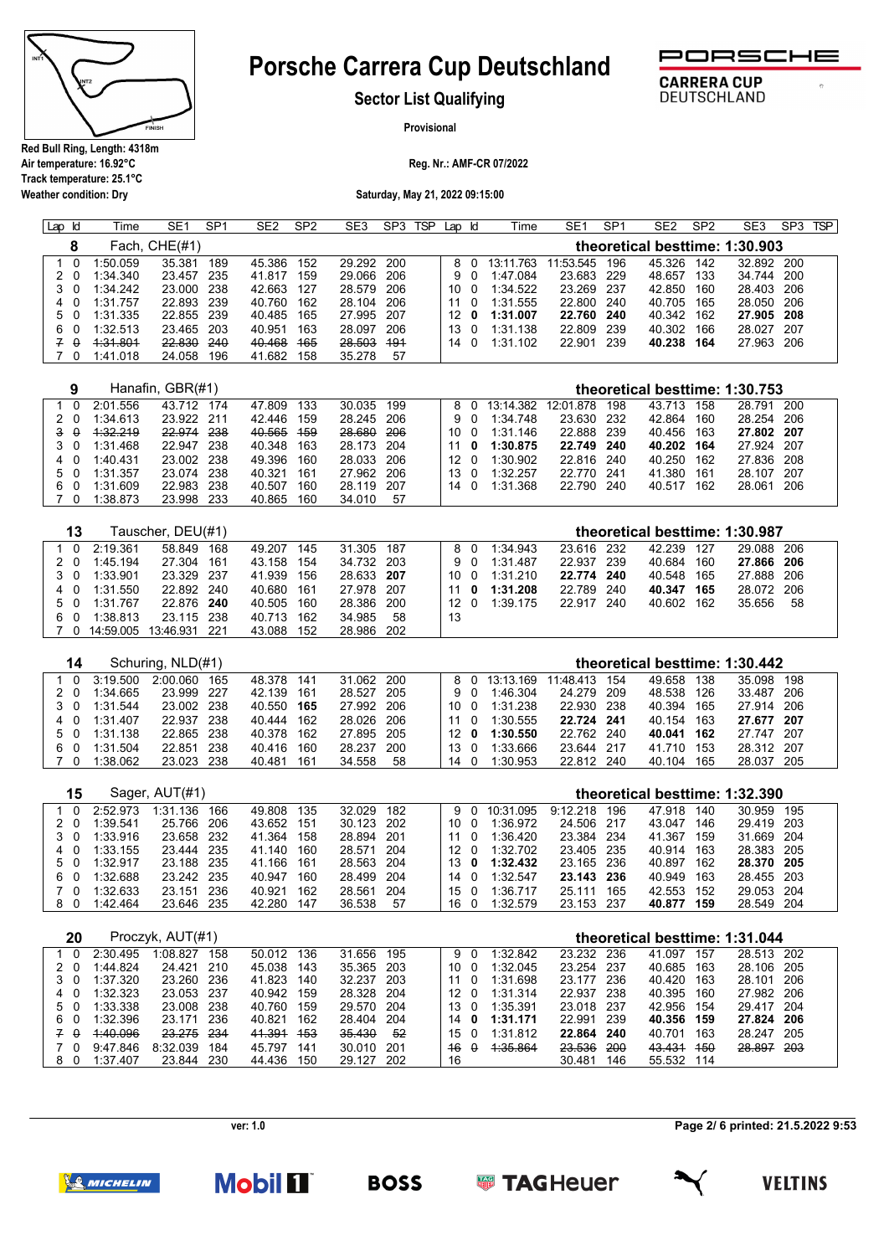

**Weather condition: Dry**

# **Porsche Carrera Cup Deutschland**



 $\sigma$ 

**CARRERA CUP** 

DEUTSCHLAND

**Sector List Qualifying**

**Provisional**

**Reg. Nr.: AMF-CR 07/2022**

**Saturday, May 21, 2022 09:15:00**

| Lap | <b>ld</b> | Time     | SE <sub>1</sub> | SP <sub>1</sub> | SE <sub>2</sub> | SP <sub>2</sub> | SE <sub>3</sub> | SP3 | <b>TSP</b> | Lap Id          |     | Time      | SE <sub>1</sub> | SP <sub>1</sub> | SE <sub>2</sub>                | SP <sub>2</sub> | SE <sub>3</sub> | SP <sub>3</sub> | <b>TSP</b> |
|-----|-----------|----------|-----------------|-----------------|-----------------|-----------------|-----------------|-----|------------|-----------------|-----|-----------|-----------------|-----------------|--------------------------------|-----------------|-----------------|-----------------|------------|
|     |           |          | Fach, CHE(#1)   |                 |                 |                 |                 |     |            |                 |     |           |                 |                 | theoretical besttime: 1:30.903 |                 |                 |                 |            |
|     |           | 1:50.059 | 35.381          | 189             | 45.386          | 152             | 29.292 200      |     |            |                 | 80  | 13:11.763 | 11:53.545       | 196             | 45.326                         | 142             | 32.892 200      |                 |            |
|     | 20        | 1:34.340 | 23.457          | 235             | 41.817          | 159             | 29.066          | 206 |            |                 | 9 O | 1:47.084  | 23.683          | -229            | 48.657                         | 133             | 34.744 200      |                 |            |
|     | 3 O       | 1:34.242 | 23.000          | -238            | 42.663          | 127             | 28.579          | 206 |            | 10.             | - 0 | 1:34.522  | 23.269          | -237            | 42.850                         | 160             | 28.403 206      |                 |            |
|     | 40        | 1:31.757 | 22.893          | -239            | 40.760          | 162             | 28.104 206      |     |            | 11              | . വ | 1:31.555  | 22.800          | 240             | 40.705 165                     |                 | 28.050 206      |                 |            |
|     | 50        | 1:31.335 | 22.855          | -239            | 40.485          | 165             | 27.995 207      |     |            | 12 <sub>0</sub> |     | 1:31.007  | 22.760          | 240             | 40.342 162                     |                 | 27.905 208      |                 |            |
|     | 60        | 1:32.513 | 23.465          | 203             | 40.951          | 163             | 28.097          | 206 |            | 13              | . റ | 1:31.138  | 22.809          | 239             | 40.302                         | 166             | 28.027 207      |                 |            |
|     | z e       | 4:31.801 | 22.830          | 240             | 40.468          | 165             | 28.503          | 491 |            | 14              | - 0 | 1:31.102  | 22.901          | 239             | 40.238                         | 164             | 27.963 206      |                 |            |
|     | - 0       | 1:41.018 | 24.058          | 196             | 41.682          | 158             | 35.278          | 57  |            |                 |     |           |                 |                 |                                |                 |                 |                 |            |

| α   |          | Hanafin, GBR(#1) |      |        |       |            |     |      |     |               |            |       |        |     | theoretical besttime: 1:30.753 |      |
|-----|----------|------------------|------|--------|-------|------------|-----|------|-----|---------------|------------|-------|--------|-----|--------------------------------|------|
|     | 2:01.556 | 43 712           | 174  | 47.809 | 133   | 30.035     | 199 |      |     | 8 0 13:14 382 | 12:01.878  | 198   | 43.713 | 158 | 28.791                         | 200  |
| 20  | 1:34.613 | 23 922 211       |      | 42.446 | 159   | 28.245 206 |     |      | 9 O | 1:34.748      | 23.630 232 |       | 42.864 | 160 | 28.254 206                     |      |
| 3 O | 1.32.219 | 22.974 238       |      | 40.565 | - 459 | 28.680 206 |     | 10 0 |     | 1:31.146      | 22.888     | - 239 | 40.456 | 163 | 27.802 207                     |      |
| 3 O | 1:31.468 | 22.947 238       |      | 40.348 | 163   | 28.173 204 |     | 11   | 0   | 1:30.875      | 22.749 240 |       | 40.202 | 164 | 27.924 207                     |      |
| 40  | 1:40.431 | 23.002 238       |      | 49.396 | 160   | 28.033 206 |     | 12 O |     | 1:30.902      | 22.816 240 |       | 40.250 | 162 | 27.836 208                     |      |
| 50  | 1:31.357 | 23.074 238       |      | 40.321 | - 161 | 27.962 206 |     | 13 0 |     | 1:32.257      | 22.770 241 |       | 41.380 | 161 | 28.107                         | -207 |
| 60  | 1:31.609 | 22.983 238       |      | 40.507 | 160   | 28.119 207 |     | 14 O |     | 1:31.368      | 22.790 240 |       | 40.517 | 162 | 28.061                         | 206  |
| 70  | 1:38.873 | 23.998           | -233 | 40.865 | 160   | 34.010     | 57  |      |     |               |            |       |        |     |                                |      |

| 13  |           | Tauscher, DEU(#1) |      |        |     |            |     |      |     |            |            |      |            |     | theoretical besttime: 1:30.987 |    |  |
|-----|-----------|-------------------|------|--------|-----|------------|-----|------|-----|------------|------------|------|------------|-----|--------------------------------|----|--|
| 1 N | 2.19.361  | 58.849            | 168  | 49.207 | 145 | 31.305 187 |     |      | 80  | 1.34.943   | 23.616 232 |      | 42 239     | 127 | 29.088 206                     |    |  |
| 20  | 1:45.194  | 27.304            | 161  | 43.158 | 154 | 34.732 203 |     |      | 9 O | 1:31.487   | 22.937     | -239 | 40.684     | 160 | 27.866 206                     |    |  |
| 3 O | 1:33.901  | 23.329 237        |      | 41.939 | 156 | 28.633 207 |     | 10 O |     | 1:31.210   | 22.774 240 |      | 40.548     | 165 | 27.888 206                     |    |  |
| 4 0 | 1:31.550  | 22.892 240        |      | 40.680 | 161 | 27.978 207 |     | 11 O |     | 1:31.208   | 22.789     | 240  | 40.347 165 |     | 28.072 206                     |    |  |
| 50  | 1:31.767  | 22.876 240        |      | 40.505 | 160 | 28.386 200 |     | 12 O |     | $1:39$ 175 | 22.917     | 240  | 40.602     | 162 | 35.656                         | 58 |  |
| 60  | 1:38.813  | 23.115 238        |      | 40.713 | 162 | 34.985     | 58  | 13   |     |            |            |      |            |     |                                |    |  |
|     | 14:59.005 | 13:46.931         | -221 | 43.088 | 152 | 28.986     | 202 |      |     |            |            |      |            |     |                                |    |  |

| 14  |          | Schuring, NLD(#1) |      |            |     |            |     |                 |          |           |            |       |        |     | theoretical besttime: 1:30.442 |     |
|-----|----------|-------------------|------|------------|-----|------------|-----|-----------------|----------|-----------|------------|-------|--------|-----|--------------------------------|-----|
| . വ | 3:19.500 | 2.00000           | 165  | 48.378     | 141 | 31.062 200 |     |                 | 8 O      | 13:13 169 | 11:48 413  | 154   | 49.658 | 138 | 35 098                         | 198 |
| 20  | 1:34.665 | 23.999            | -227 | 42.139     | 161 | 28.527 205 |     |                 | 9 O      | 1:46.304  | 24 279     | - 209 | 48.538 | 126 | 33.487 206                     |     |
| 3 O | 1:31.544 | 23.002 238        |      | 40.550 165 |     | 27.992 206 |     | 10 O            |          | 1:31.238  | 22.930 238 |       | 40.394 | 165 | 27.914 206                     |     |
| 40  | 1:31 407 | 22.937            | 238  | 40.444     | 162 | 28.026 206 |     | 11              | $\Omega$ | 1:30.555  | 22.724 241 |       | 40.154 | 163 | 27.677 207                     |     |
| 50  | 1:31.138 | 22.865 238        |      | 40.378 162 |     | 27.895 205 |     | 12 <sup>1</sup> | - 0      | 1:30.550  | 22 762 240 |       | 40.041 | 162 | 27.747 207                     |     |
| 60  | 1:31.504 | 22 851            | 238  | 40.416     | 160 | 28.237     | 200 | 13              |          | 1:33.666  | 23.644     | - 217 | 41 710 | 153 | 28 312 207                     |     |
|     | 1:38.062 | 23.023            | -238 | 40.481     | 161 | 34.558     | 58  | 14              |          | 1:30.953  | 22.812 240 |       | 40.104 | 165 | 28.037 205                     |     |

| 15  |          | Sager, AUT(#1) |      |        |     |            |     |      |               |            |     | theoretical besttime: 1:32.390 |     |            |       |
|-----|----------|----------------|------|--------|-----|------------|-----|------|---------------|------------|-----|--------------------------------|-----|------------|-------|
| 10  | 2.52973  | 1:31.136       | 166  | 49.808 | 135 | 32 029     | 182 |      | 9 0 10:31.095 | 9:12.218   | 196 | 47.918                         | 140 | 30 959     | 195   |
| 20  | 1:39.541 | 25.766         | -206 | 43.652 | 151 | 30.123 202 |     | 10 O | 1:36.972      | 24.506 217 |     | 43.047                         | 146 | 29.419 203 |       |
| 3 O | 1:33.916 | 23.658 232     |      | 41.364 | 158 | 28.894 201 |     | 11 O | 1:36.420      | 23.384 234 |     | 41.367                         | 159 | 31.669 204 |       |
| 40  | 1:33.155 | 23 444         | 235  | 41.140 | 160 | 28.571 204 |     | 12 O | 1:32702       | 23.405 235 |     | 40.914                         | 163 | 28.383     | - 205 |
| 50  | 1:32.917 | 23.188 235     |      | 41.166 | 161 | 28.563 204 |     | 13 0 | 1:32.432      | 23.165 236 |     | 40.897                         | 162 | 28.370 205 |       |
| 60  | 1:32.688 | 23.242 235     |      | 40.947 | 160 | 28.499 204 |     | 14 O | 1:32.547      | 23.143 236 |     | 40.949                         | 163 | 28.455 203 |       |
| 70  | 1:32.633 | 23 151         | 236  | 40.921 | 162 | 28.561     | 204 | 15 0 | 1:36717       | 25 111     | 165 | 42.553                         | 152 | 29.053     | -204  |
| 80  | 1:42.464 | 23.646         | -235 | 42.280 | 147 | 36.538     | -57 | 16 0 | 1:32.579      | 23.153 237 |     | 40.877                         | 159 | 28.549 204 |       |

| 20       |          | Proczyk, AUT(#1) |      |        |     |        |     |     |          |          |        |            | theoretical besttime: 1:31.044 |     |        |       |
|----------|----------|------------------|------|--------|-----|--------|-----|-----|----------|----------|--------|------------|--------------------------------|-----|--------|-------|
|          | 2:30.495 | 1:08.827         | 158  | 50.012 | 136 | 31.656 | 195 | 9   | $\Omega$ | 1:32.842 | 23.232 | 236        | 41.097                         | 157 | 28.513 | 202   |
| 20       | 1:44.824 | 24 4 21          | 210  | 45.038 | 143 | 35.365 | 203 | 10  | $\Omega$ | 1:32.045 | 23.254 | 237        | 40.685                         | 163 | 28.106 | 205   |
| 3 O      | 1:37.320 | 23.260           | 236  | 41.823 | 140 | 32.237 | 203 | -11 | - റ      | 1:31.698 | 23.177 | - 236      | 40.420                         | 163 | 28.101 | 206   |
| 4 0      | 1:32.323 | 23.053           | -237 | 40.942 | 159 | 28.328 | 204 | 12  | $\Omega$ | 1:31.314 | 22.937 | -238       | 40.395                         | 160 | 27.982 | -206  |
| 5 0      | 1:33.338 | 23.008           | 238  | 40.760 | 159 | 29.570 | 204 | 13  | $\Omega$ | 1:35.391 | 23.018 | -237       | 42.956 154                     |     | 29417  | -204  |
| 60       | 1:32.396 | 23.171           | 236  | 40.821 | 162 | 28.404 | 204 | 14  | 0        | 1:31.171 | 22.991 | -239       | 40.356                         | 159 | 27.824 | - 206 |
| $\theta$ | 4:40.096 | 23.275           | -234 | 41.391 | 453 | 35.430 | 52  | 15  | $\Omega$ | 1:31.812 | 22.864 | -240       | 40.701                         | 163 | 28.247 | 205   |
| ′ റ      | 9:47.846 | 8:32.039         | 184  | 45.797 | 141 | 30.010 | 201 | 46  | $\theta$ | 4.35.864 | 23.536 | <b>200</b> | 43.431                         | 450 | 28.897 | -203  |
| 80       | 1:37.407 | 23.844           | 230  | 44.436 | 150 | 29 127 | 202 | 16  |          |          | 30.481 | 146        | 55.532                         | 114 |        |       |

**ver: 1.0**

**Page 2/ 6 printed: 21.5.2022 9:53**



**Mobil 1** 

**BOSS** 

**SUPPER TAGHEUER** 

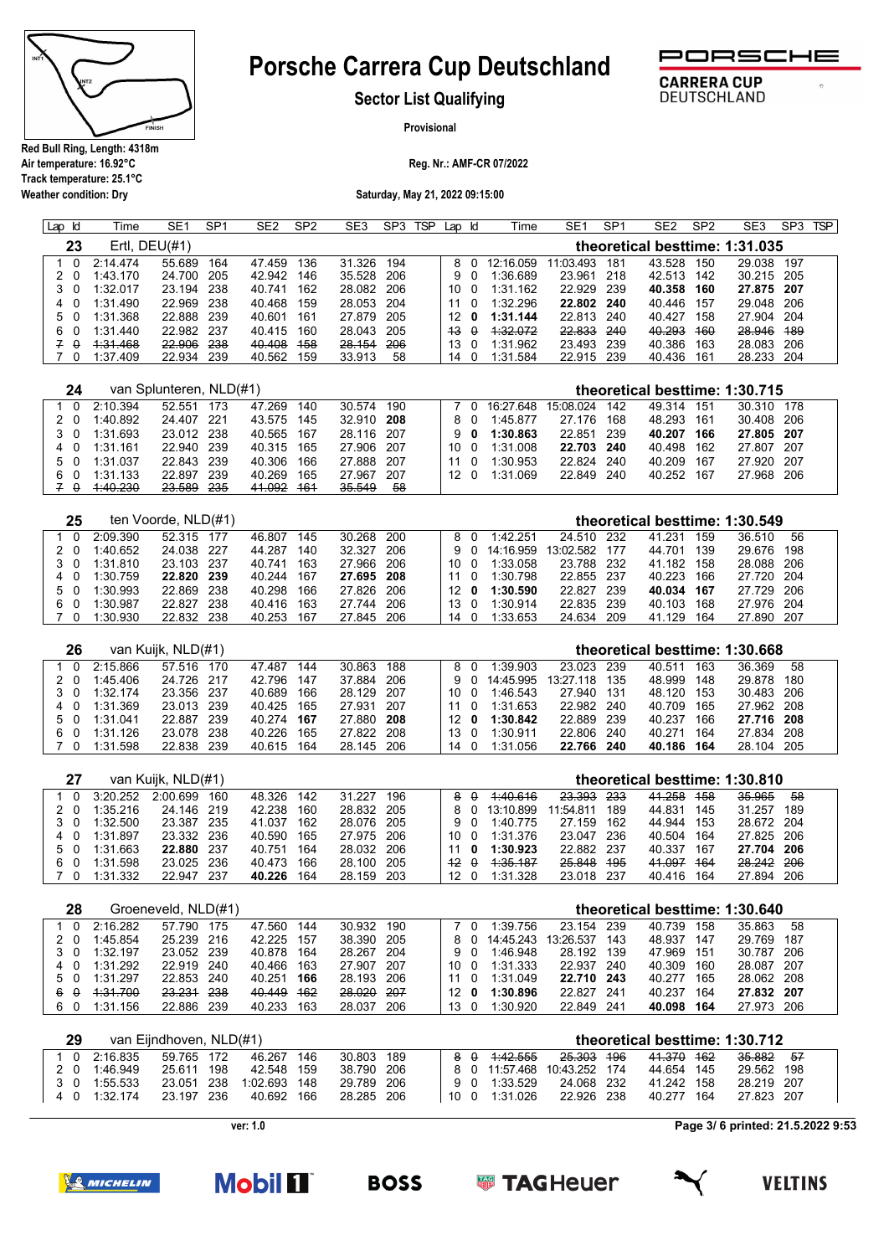

**Weather condition: Dry**

# **Porsche Carrera Cup Deutschland**



DEUTSCHLAND

 $\sigma$ 

**Sector List Qualifying**

**Provisional**

**Reg. Nr.: AMF-CR 07/2022**

**Saturday, May 21, 2022 09:15:00**

| . Id<br>Lap | Time     | SE <sub>1</sub>  | SP <sub>1</sub> | SE <sub>2</sub> | SP <sub>2</sub> | SE <sub>3</sub> | SP <sub>3</sub> | <b>TSP</b> | Lap          | ld       | Time      | SE <sub>1</sub> | SP <sub>1</sub> | SE <sub>2</sub> | SP <sub>2</sub> | SE3                            | SP <sub>3</sub> | <b>TSP</b> |
|-------------|----------|------------------|-----------------|-----------------|-----------------|-----------------|-----------------|------------|--------------|----------|-----------|-----------------|-----------------|-----------------|-----------------|--------------------------------|-----------------|------------|
| 23          |          | Ertl, $DEU(\#1)$ |                 |                 |                 |                 |                 |            |              |          |           |                 |                 |                 |                 | theoretical besttime: 1:31.035 |                 |            |
|             | 2.14474  | 55.689           | 164             | 47.459          | 136             | 31.326          | 194             |            | 8            |          | 12:16 059 | 11:03.493       | 181             | 43.528          | 150             | 29.038                         | 197             |            |
|             | 1:43.170 | 24.700           | 205             | 42.942          | 146             | 35.528          | 206             |            | 9.           |          | 1:36.689  | 23.961          | 218             | 42.513          | 142             | 30.215 205                     |                 |            |
| - 0         | 1:32.017 | 23.194           | 238             | 40.741          | 162             | 28.082          | 206             |            | 10 O         |          | 1:31.162  | 22.929          | 239             | 40.358          | 160             | 27.875 207                     |                 |            |
| - 0<br>4    | 1:31.490 | 22.969           | 238             | 40.468          | 159             | 28.053          | 204             |            | 11           |          | 1:32.296  | 22.802          | 240             | 40.446          | 157             | 29.048 206                     |                 |            |
| 5.          | 1:31.368 | 22.888           | 239             | 40.601          | 161             | 27.879          | 205             |            | 12           | 0        | 1:31.144  | 22.813          | 240             | 40.427          | 158             | 27.904 204                     |                 |            |
| 6.<br>- 0   | 1:31.440 | 22.982           | -237            | 40.415          | 160             | 28.043          | 205             |            | $43^{\circ}$ | $\theta$ | 1:32.072  | 22.833          | 240             | 40.293          | <del>160</del>  | 28.946 189                     |                 |            |
| $\theta$    | 4:31.468 | 22.906           | 238             | 40.408          | 458             | 28.154          | 206             |            | 13           |          | 1:31.962  | 23.493          | 239             | 40.386          | 163             | 28.083 206                     |                 |            |
|             | 1:37.409 | 22.934           | 239             | 40.562          | 159             | 33.913          | 58              |            | 14           |          | 1:31.584  | 22.915          | 239             | 40.436          | 161             | 28.233 204                     |                 |            |

| 24  |          | van Splunteren, NLD(#1) |     |                   |     |            |     |      |     |               |            |       |        |     | theoretical besttime: 1:30.715 |  |
|-----|----------|-------------------------|-----|-------------------|-----|------------|-----|------|-----|---------------|------------|-------|--------|-----|--------------------------------|--|
| 0   | 2:10.394 | 52.551                  | 173 | 47.269            | 140 | 30.574     | 190 |      |     | 7 0 16:27.648 | 15:08.024  | 142   | 49 314 | 151 | 30.310 178                     |  |
| 20  | 1:40.892 | 24.407 221              |     | 43.575            | 145 | 32.910 208 |     |      | 80  | 1:45.877      | 27.176     | 168   | 48.293 | 161 | 30.408 206                     |  |
| 3 O | 1:31.693 | 23.012 238              |     | 40.565 167        |     | 28.116 207 |     |      | 90  | 1:30.863      | 22.851     | - 239 | 40.207 | 166 | 27.805 207                     |  |
| 40  | 1:31.161 | 22.940 239              |     | 40.315 165        |     | 27.906 207 |     | 10 0 |     | 1:31.008      | 22.703 240 |       | 40.498 | 162 | 27.807 207                     |  |
| 5 0 | 1:31.037 | 22.843 239              |     | 40.306            | 166 | 27.888 207 |     | 11   | - 0 | 1:30.953      | 22.824     | 240   | 40.209 | 167 | 27.920 207                     |  |
| 60  | 1:31.133 | 22.897                  | 239 | 40.269            | 165 | 27.967     | 207 | 12 O |     | 1:31.069      | 22.849 240 |       | 40.252 | 167 | 27.968 206                     |  |
| 7 O | 4:40.230 | <del>23.589</del>       | 235 | <del>41.092</del> | 464 | 35.549     | 58  |      |     |               |            |       |        |     |                                |  |

| 25  |          | ten Voorde, NLD(#1) |      |        |     |            |     |                 |           |               |        |     | theoretical besttime: 1:30.549 |     |  |
|-----|----------|---------------------|------|--------|-----|------------|-----|-----------------|-----------|---------------|--------|-----|--------------------------------|-----|--|
|     | 2:09.390 | 52.315              | -177 | 46.807 | 145 | 30.268 200 |     | 80              | 1:42.251  | 24.510 232    | 41.231 | 159 | 36.510                         | 56  |  |
| 2 O | 1:40.652 | 24.038 227          |      | 44.287 | 140 | 32 327     | 206 | 9 O             | 14:16.959 | 13:02.582 177 | 44.701 | 139 | 29.676                         | 198 |  |
| 3 O | 1:31.810 | 23.103 237          |      | 40 741 | 163 | 27.966     | 206 | 10 O            | 1:33.058  | 23.788 232    | 41.182 | 158 | 28.088 206                     |     |  |
| 40  | 1:30.759 | 22.820              | 239  | 40.244 | 167 | 27.695 208 |     | 11 O            | 1:30.798  | 22.855 237    | 40.223 | 166 | 27.720 204                     |     |  |
| 50  | 1:30.993 | 22.869              | 238  | 40.298 | 166 | 27.826 206 |     | 12 <sub>0</sub> | 1:30.590  | 22.827 239    | 40.034 | 167 | 27 729 206                     |     |  |
| 60  | 1:30.987 | 22.827              | 238  | 40 416 | 163 | 27 744     | 206 | 13 0            | 1:30.914  | 22.835 239    | 40.103 | 168 | 27.976 204                     |     |  |
|     | 1:30.930 | 22 832              | 238  | 40.253 | 167 | 27.845     | 206 | $14 \quad 0$    | 1:33.653  | 24.634 209    | 41 129 | 164 | 27.890 207                     |     |  |

| 26  |            | van Kuijk, NLD(#1) |     |            |       |            |       |     |     |           |           |      | theoretical besttime: 1:30.668 |     |            |     |
|-----|------------|--------------------|-----|------------|-------|------------|-------|-----|-----|-----------|-----------|------|--------------------------------|-----|------------|-----|
| 1 0 | 2.15.866   | 57.516             | 170 | 47.487     | 144   | 30.863 188 |       |     |     | 1:39.903  | 23.023    | -239 | 40.511                         | 163 | 36.369     | -58 |
| 20  | 1:45.406   | 24.726 217         |     | 42.796     | 147   | 37.884     | - 206 | 9 O |     | 14:45.995 | 13:27.118 | 135  | 48.999                         | 148 | 29.878     | 180 |
| 3 O | $1:32$ 174 | 23.356 237         |     | 40.689     | 166   | 28.129 207 |       | 10  | - 0 | 1:46.543  | 27.940    | 131  | 48 120                         | 153 | 30.483 206 |     |
| 40  | 1:31.369   | 23.013 239         |     | 40.425 165 |       | 27.931 207 |       | 11  |     | 1:31.653  | 22.982    | 240  | 40.709                         | 165 | 27.962 208 |     |
| 50  | 1:31.041   | 22.887 239         |     | 40.274     | - 167 | 27.880 208 |       | 12. | 0   | 1:30.842  | 22.889    | 239  | 40.237                         | 166 | 27.716 208 |     |
| 60  | 1:31.126   | 23.078             | 238 | 40.226     | 165   | 27.822 208 |       | 13  |     | 1:30.911  | 22.806    | 240  | 40.271                         | 164 | 27.834 208 |     |
| 7 O | 1:31.598   | 22.838             | 239 | 40.615     | 164   | 28.145 206 |       | 14  |     | 1:31.056  | 22.766    | 240  | 40.186                         | 164 | 28.104 205 |     |

|          |          | van Kuijk, NLD(#1) |      |        |     |            |     |                                |          |               |            |     |            |       | theoretical besttime: 1:30.810 |     |  |
|----------|----------|--------------------|------|--------|-----|------------|-----|--------------------------------|----------|---------------|------------|-----|------------|-------|--------------------------------|-----|--|
| $\Omega$ | 3:20.252 | 2.00699            | 160  | 48.326 | 142 | 31.227     | 196 | 8                              | $\theta$ | 4:40.616      | 23.393 233 |     | 41.258     | 458   | 35.965                         | 58  |  |
| 20       | 1:35.216 | 24.146 219         |      | 42.238 | 160 | 28.832 205 |     |                                |          | 8 0 13:10.899 | 11:54.811  | 189 | 44.831     | - 145 | 31 257                         | 189 |  |
| 3 0      | 1:32.500 | 23.387 235         |      | 41.037 | 162 | 28.076 205 |     |                                | 9 O      | 1:40 775      | 27.159     | 162 | 44.944     | 153   | 28.672 204                     |     |  |
| 4 0      | 1:31.897 | 23.332 236         |      | 40.590 | 165 | 27.975 206 |     | 10 O                           |          | 1:31.376      | 23 047     | 236 | 40.504     | 164   | 27.825 206                     |     |  |
| 50       | 1:31.663 | 22.880 237         |      | 40.751 | 164 | 28.032 206 |     | 11                             | 0        | 1:30.923      | 22.882 237 |     | 40.337 167 |       | 27.704 206                     |     |  |
| 60       | 1:31.598 | 23.025 236         |      | 40.473 | 166 | 28.100 205 |     | $\overline{12}$ $\overline{0}$ |          | 1.35.187      | 25.848     | 495 | 41.097     | 464   | 28.242 206                     |     |  |
|          | 1:31.332 | 22.947             | -237 | 40.226 | 164 | 28.159 203 |     | 12 0                           |          | 1:31.328      | 23.018 237 |     | 40.416 164 |       | 27.894 206                     |     |  |

| 28       |          | Groeneveld, NLD(#1) |     |            |       |            |      |      |     |           |            |      | theoretical besttime: 1:30.640 |     |            |       |
|----------|----------|---------------------|-----|------------|-------|------------|------|------|-----|-----------|------------|------|--------------------------------|-----|------------|-------|
| - 0      | 2.16282  | 57 790              | 175 | 47.560     | 144   | 30.932     | 190  |      |     | 1.39756   | 23 154     | 239  | 40.739 158                     |     | 35.863     | 58    |
| 20       | 1:45.854 | 25.239 216          |     | 42.225     | - 157 | 38.390 205 |      |      | 80  | 14:45 243 | 13:26.537  | 143  | 48.937                         | 147 | 29.769     | 187   |
| 3 O      | 1:32.197 | 23.052 239          |     | 40.878 164 |       | 28.267 204 |      |      | 90  | 1:46.948  | 28.192     | 139  | 47.969 151                     |     | 30.787     | - 206 |
| 4 0      | 1:31.292 | 22.919 240          |     | 40 466     | 163   | 27.907 207 |      | 10 O |     | 1:31.333  | 22.937     | 240  | 40.309                         | 160 | 28.087 207 |       |
| 5 0      | 1:31 297 | 22.853 240          |     | 40.251     | 166   | 28.193 206 |      | 11   | - 0 | 1:31.049  | 22.710 243 |      | 40.277                         | 165 | 28.062 208 |       |
| $\theta$ | 4.31.700 | 23.231 238          |     | 40.449     | 462   | 28.020     | -207 | 12   | - 0 | 1:30.896  | 22.827     | -241 | 40.237                         | 164 | 27.832 207 |       |
| 60       | 1:31.156 | 22.886              | 239 | 40.233     | 163   | 28.037     | 206  | 13   |     | 1:30.920  | 22.849     | 241  | 40.098                         | 164 | 27.973 206 |       |

| 29  |          | van Eijndhoven, NLD(#1) |     |              |     |            |     |     |               |                       |            |       | theoretical besttime: 1:30.712 |     |
|-----|----------|-------------------------|-----|--------------|-----|------------|-----|-----|---------------|-----------------------|------------|-------|--------------------------------|-----|
| 1 O | 2:16.835 | 59.765 172              |     | 46.267       | 146 | 30.803     | 189 | 8 A | 4:42.555      | <del>25.303</del> 196 | 41.370 162 |       | <del>35.882</del>              | -57 |
| 20  | 1.46.949 | 25.611                  | 198 | 42.548 159   |     | 38.790 206 |     |     | 8 0 11:57.468 | 10:43.252 174         | 44.654 145 |       | 29.562 198                     |     |
| 30  | 1:55.533 | 23.051 238              |     | 1:02.693 148 |     | 29 789 206 |     | 9 O | 1:33.529      | 24.068 232            | 41.242 158 |       | 28 219 207                     |     |
| 40  | 1:32 174 | 23.197 236              |     | 40.692 166   |     | 28.285 206 |     |     | 10 0 1:31.026 | 22.926 238            | 40.277     | - 164 | 27.823 207                     |     |

**ver: 1.0**

**Mobil II** 

**Page 3/ 6 printed: 21.5.2022 9:53**



**BOSS** 



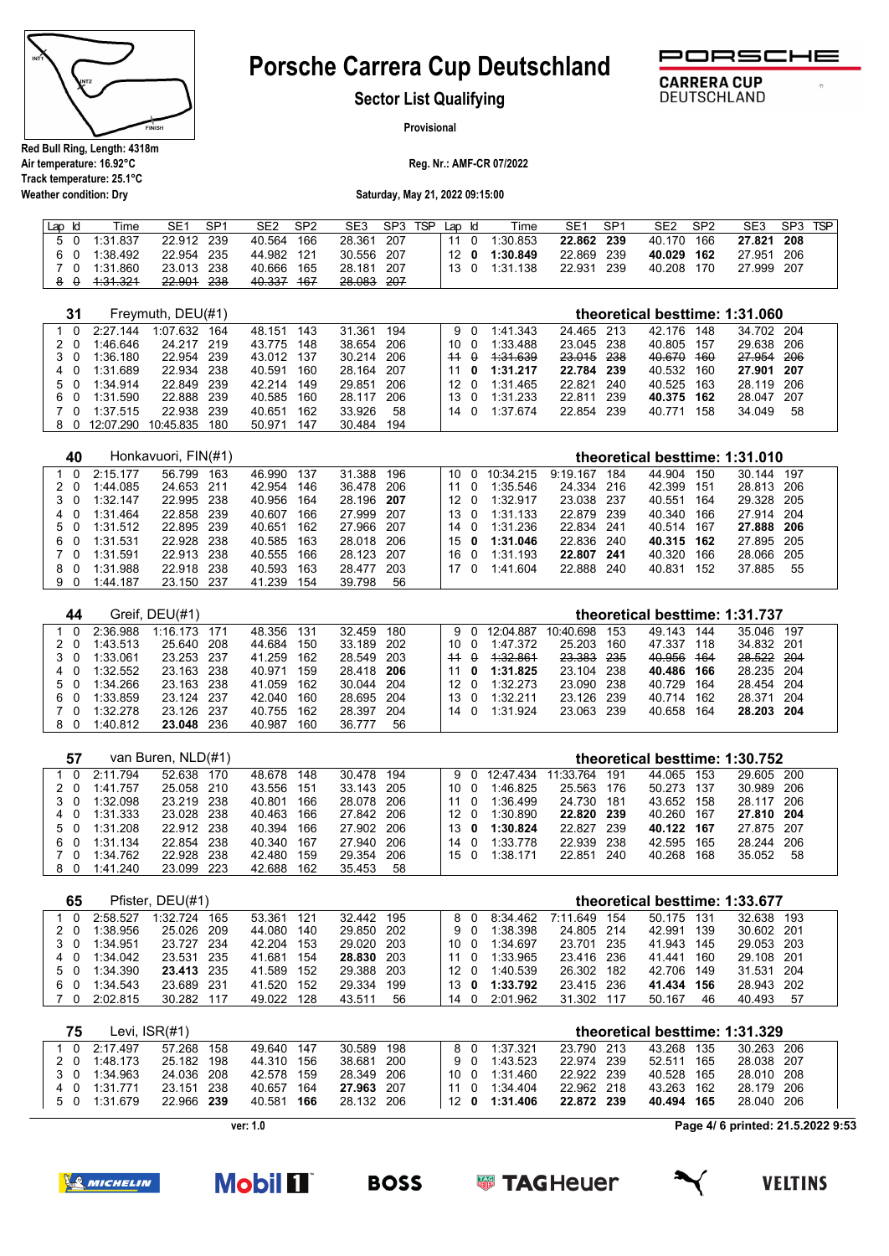

**Weather condition: Dry**

# **Porsche Carrera Cup Deutschland**



 $\sigma$ 

**CARRERA CUP** 

**DEUTSCHLAND** 

**Sector List Qualifying**

**Provisional**

**Reg. Nr.: AMF-CR 07/2022**

**Saturday, May 21, 2022 09:15:00**

| Lap Id | Time         | SP1<br>SE <sub>1</sub> | SE <sub>2</sub><br>SP <sub>2</sub> | SE3<br>SP3 TSP | Lap Id | Time          | SP <sup>1</sup><br>SE1 | SE <sub>2</sub><br>SP <sub>2</sub> | <b>TSP</b><br>SE <sub>3</sub><br>SP <sub>3</sub> |
|--------|--------------|------------------------|------------------------------------|----------------|--------|---------------|------------------------|------------------------------------|--------------------------------------------------|
|        | 5 0 1:31.837 | 22.912 239             | 166<br>40.564                      | 28.361 207     | 11 0   | 1:30.853      | 22.862 239             | 40.170 166                         | 27.821 208                                       |
|        | 6 0 1:38.492 | 22.954 235             | 44.982 121                         | 30.556 207     |        | 12 0 1:30.849 | 22.869 239             | 40.029 162                         | 27.951 206                                       |
| 7 O    | 1:31.860     | 23.013 238             | 40.666<br>165                      | 28.181 207     |        | 13 0 1:31.138 | 22.931<br>239          | 40.208<br>170                      | 27.999 207                                       |
|        | 1.31.321     | 22.901<br>-238         | 40.337<br>- 467                    | -207<br>28.083 |        |               |                        |                                    |                                                  |

| 31  |           | Freymuth, DEU(#1) |      |            |     |        |      |    |                   |          |            |            |                | theoretical besttime: 1:31.060 |      |  |
|-----|-----------|-------------------|------|------------|-----|--------|------|----|-------------------|----------|------------|------------|----------------|--------------------------------|------|--|
| 1 O | 2:27.144  | 1:07.632          | 164  | 48.151     | 143 | 31.361 | 194  |    | 9 O               | 1:41.343 | 24.465 213 | 42.176     | 148            | 34.702 204                     |      |  |
|     | 1:46.646  | 24 217            | 219  | 43.775     | 148 | 38.654 | 206  | 10 |                   | 1:33.488 | 23.045 238 | 40.805     | 157            | 29.638 206                     |      |  |
| 3 O | 1:36.180  | 22.954            | -239 | 43.012 137 |     | 30.214 | 206  |    | $44$ $\theta$     | 1.31.639 | 23.015 238 | 40.670     | <del>160</del> | 27,954 206                     |      |  |
| 4 0 | 1:31.689  | 22.934            | 238  | 40.591     | 160 | 28.164 | -207 | 11 | 0                 | 1:31.217 | 22.784 239 | 40.532     | 160            | 27.901 207                     |      |  |
| 50  | 1:34.914  | 22.849            | 239  | 42 214     | 149 | 29.851 | 206  |    | 12 O              | 1:31.465 | 22.821 240 | 40.525     | 163            | 28.119 206                     |      |  |
| 60  | 1:31.590  | 22.888            | -239 | 40.585     | 160 | 28.117 | 206  |    | $13 \quad \Omega$ | 1:31.233 | 22.811 239 | 40.375 162 |                | 28.047                         | -207 |  |
| 70  | 1:37.515  | 22.938            | 239  | 40.651     | 162 | 33.926 | 58   |    | 14 O              | 1:37674  | 22.854 239 | 40.771     | 158            | 34.049                         | 58   |  |
| 80  | 12:07.290 | 10:45.835         | 180  | 50.971     | 147 | 30.484 | 194  |    |                   |          |            |            |                |                                |      |  |
|     |           |                   |      |            |     |        |      |    |                   |          |            |            |                |                                |      |  |

| 40  |            | Honkavuori, FIN(#1) |            |               |            |        |                |            |       |            |     | theoretical besttime: 1:31.010 |    |  |
|-----|------------|---------------------|------------|---------------|------------|--------|----------------|------------|-------|------------|-----|--------------------------------|----|--|
| 1 0 | $2.15$ 177 | 56 799<br>163       | 46.990 137 | 31.388        | 196        |        | 10 0 10:34.215 | 9:19.167   | 184   | 44 904     | 150 | 30 144 197                     |    |  |
| 20  | 1:44.085   | 24.653<br>-211      | 42.954     | 146           | 36.478 206 | 11 0   | 1:35.546       | 24.334 216 |       | 42.399     | 151 | 28.813 206                     |    |  |
| 3 0 | 1:32.147   | 22.995<br>- 238     | 40.956     | 164           | 28.196 207 | 12 O   | 1:32.917       | 23.038 237 |       | 40.551 164 |     | 29.328 205                     |    |  |
| 4 0 | 1:31.464   | 22.858<br>-239      | 40.607     | 166           | 27.999 207 | 13 0   | 1:31.133       | 22.879 239 |       | 40.340     | 166 | 27.914 204                     |    |  |
| 50  | 1:31.512   | 22.895<br>- 239     | 40.651     | 162           | 27.966 207 |        | 14 0 1:31.236  | 22.834 241 |       | 40.514 167 |     | 27.888 206                     |    |  |
| 60  | 1:31.531   | 22.928<br>- 238     | 40.585 163 |               | 28.018 206 | 15 $0$ | 1:31.046       | 22.836 240 |       | 40.315 162 |     | 27.895 205                     |    |  |
| 70  | 1:31.591   | - 238<br>22.913     | 40.555 166 |               | 28.123 207 | 16 0   | 1:31.193       | 22.807     | - 241 | 40.320     | 166 | 28.066 205                     |    |  |
| 80  | 1:31.988   | 238<br>22.918       | 40.593     | 163           | 28.477 203 | 17 0   | 1:41.604       | 22.888 240 |       | 40.831     | 152 | 37.885                         | 55 |  |
| 90  | 1:44.187   | 23.150<br>-237      | 41.239     | 154<br>39.798 | 56         |        |                |            |       |            |     |                                |    |  |

| 44             |          | Greif, DEU(#1) |      |        |     |            |     |             |     |           |            |     |            |     | theoretical besttime: 1:31.737 |      |
|----------------|----------|----------------|------|--------|-----|------------|-----|-------------|-----|-----------|------------|-----|------------|-----|--------------------------------|------|
|                | 2.36988  | $1.16$ 173     | 171  | 48.356 | 131 | 32.459     | 180 | 9 O         |     | 12:04.887 | 10:40.698  | 153 | 49.143     | 144 | 35.046 197                     |      |
| 20             | 1:43.513 | 25.640         | 208  | 44.684 | 150 | 33.189 202 |     | 10 O        |     | 1:47.372  | 25.203     | 160 | 47.337 118 |     | 34.832 201                     |      |
| 3 O            | 1:33.061 | 23.253 237     |      | 41.259 | 162 | 28.549 203 |     | 14 O        |     | 1.32.861  | 23.383 235 |     | 40.956 164 |     | 28.522 204                     |      |
| - 0            | 1:32.552 | 23.163 238     |      | 40.971 | 159 | 28.418 206 |     |             | - 0 | 1:31.825  | 23.104 238 |     | 40.486 166 |     | 28.235 204                     |      |
| 50             | 1:34.266 | 23.163 238     |      | 41.059 | 162 | 30.044 204 |     | 12 O        |     | 1:32.273  | 23.090 238 |     | 40.729     | 164 | 28.454 204                     |      |
| $\Omega$<br>6. | 1:33.859 | 23.124 237     |      | 42.040 | 160 | 28.695 204 |     | 13 $\Omega$ |     | 1:32.211  | 23.126 239 |     | 40 714     | 162 | 28 371                         | -204 |
| ി വ            | 1:32.278 | 23.126 237     |      | 40.755 | 162 | 28.397     | 204 | 14 O        |     | 1:31 924  | 23.063 239 |     | 40.658     | 164 | 28.203 204                     |      |
| 80             | 1:40.812 | 23.048         | -236 | 40.987 | 160 | 36.777     | 56  |             |     |           |            |     |            |     |                                |      |

|     | 57  |          | van Buren, NLD(#1) |       |        |       |            |     |                 |     |            |            |       | theoretical besttime: 1:30.752 |     |            |       |  |
|-----|-----|----------|--------------------|-------|--------|-------|------------|-----|-----------------|-----|------------|------------|-------|--------------------------------|-----|------------|-------|--|
|     | - 0 | 2:11.794 | 52.638             | 170   | 48.678 | 148   | 30.478     | 194 |                 | 9 O | 12:47.434  | 11:33.764  | 191   | 44.065                         | 153 | 29.605 200 |       |  |
| 20  |     | 1:41.757 | 25.058             | - 210 | 43.556 | - 151 | 33.143 205 |     | 10 O            |     | 1:46.825   | 25.563 176 |       | 50.273                         | 137 | 30.989     | -206  |  |
|     | 3 O | 1:32.098 | 23.219 238         |       | 40.801 | 166   | 28.078 206 |     | 11 O            |     | 1:36.499   | 24.730 181 |       | 43.652                         | 158 | 28 117     | - 206 |  |
| 4 0 |     | 1:31.333 | 23.028             | - 238 | 40.463 | 166   | 27.842 206 |     | 12 <sub>0</sub> |     | 1:30.890   | 22.820 239 |       | 40.260                         | 167 | 27.810 204 |       |  |
|     | 50  | 1:31.208 | 22.912 238         |       | 40.394 | 166   | 27.902 206 |     | $13^{\circ}$ 0  |     | 1:30.824   | 22.827     | - 239 | 40.122                         | 167 | 27.875 207 |       |  |
| 60  |     | 1:31.134 | 22 854             | -238  | 40.340 | 167   | 27.940 206 |     | 14 O            |     | 1:33.778   | 22.939 238 |       | 42.595                         | 165 | 28 244     | 206   |  |
|     | 70  | 1:34.762 | 22.928             | 238   | 42.480 | 159   | 29.354     | 206 | 150             |     | $1:38$ 171 | 22851      | 240   | 40.268                         | 168 | 35.052     | 58    |  |
| 80  |     | 1:41.240 | 23.099             | 223   | 42.688 | 162   | 35.453     | 58  |                 |     |            |            |       |                                |     |            |       |  |

| 65  |          | Pfister, DEU(#1) |      |        |     |            |     |             |     |          |              |       |        |     | theoretical besttime: 1:33.677 |    |  |
|-----|----------|------------------|------|--------|-----|------------|-----|-------------|-----|----------|--------------|-------|--------|-----|--------------------------------|----|--|
|     | 2.58527  | 1:32724          | 165  | 53.361 | 121 | 32.442 195 |     | 80          |     | 8:34.462 | 7:11.649 154 |       | 50 175 | 131 | 32.638 193                     |    |  |
| 20  | 1:38.956 | 25.026 209       |      | 44.080 | 140 | 29.850 202 |     | 9 O         |     | 1:38.398 | 24.805 214   |       | 42.991 | 139 | 30.602 201                     |    |  |
| 3 O | 1:34.951 | 23.727 234       |      | 42.204 | 153 | 29.020 203 |     | 10 0        |     | 1:34.697 | 23.701       | - 235 | 41 943 | 145 | 29.053 203                     |    |  |
| 4 O | 1:34.042 | 23.531 235       |      | 41.681 | 154 | 28.830 203 |     | 11          | - റ | 1:33.965 | 23.416 236   |       | 41 441 | 160 | 29.108 201                     |    |  |
| 50  | 1:34.390 | 23.413 235       |      | 41.589 | 152 | 29.388 203 |     | 12 O        |     | 1:40.539 | 26.302 182   |       | 42.706 | 149 | 31.531 204                     |    |  |
| 60  | 1:34.543 | 23.689           | -231 | 41.520 | 152 | 29.334     | 199 | 13 $\theta$ |     | 1:33.792 | 23.415 236   |       | 41.434 | 156 | 28.943 202                     |    |  |
| - 0 | 2:02.815 | 30.282           | 117  | 49.022 | 128 | 43.511     | 56  | 14 0        |     | 2:01.962 | 31.302 117   |       | 50.167 | 46  | 40.493                         | 57 |  |

| 75  | Levi. $ISR(H1)$ |            |     |            |     |            |                 |     |               |            | theoretical besttime: 1:31.329 |      |            |  |
|-----|-----------------|------------|-----|------------|-----|------------|-----------------|-----|---------------|------------|--------------------------------|------|------------|--|
| 1 0 | 2:17.497        | 57 268     | 158 | 49.640 147 |     | 30.589 198 |                 | 8 O | 1:37.321      | 23.790 213 | 43.268                         | -135 | 30.263 206 |  |
| 2 O | 1:48.173        | 25.182 198 |     | 44.310 156 |     | 38.681 200 |                 | 9 O | 1:43.523      | 22.974 239 | 52.511                         | 165  | 28.038 207 |  |
| 3 O | 1:34.963        | 24.036 208 |     | 42.578 159 |     | 28.349 206 | 10 O            |     | 1:31.460      | 22.922 239 | 40.528 165                     |      | 28.010 208 |  |
| 40  | 1:31.771        | 23.151 238 |     | 40.657     | 164 | 27.963 207 | 11 <sub>0</sub> |     | 1:34.404      | 22.962 218 | 43.263 162                     |      | 28.179 206 |  |
|     | 5 0 1:31.679    | 22.966 239 |     | 40.581     | 166 | 28.132 206 |                 |     | 12 0 1:31.406 | 22.872 239 | 40.494 165                     |      | 28.040 206 |  |

**ver: 1.0**

**Page 4/ 6 printed: 21.5.2022 9:53**



**Mobil 11 BOSS**  **SUPPER TAGHEUER** 

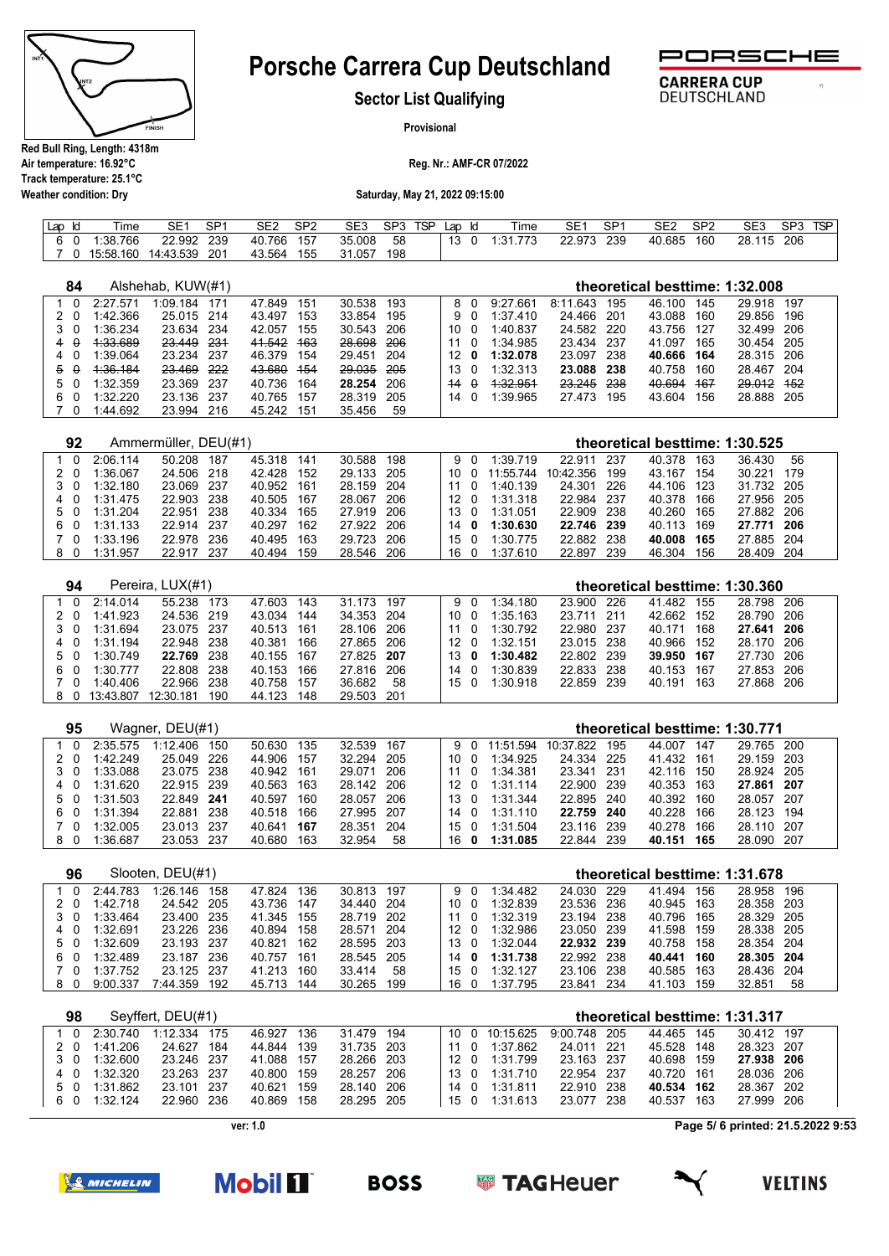

**Weather condition: Dry**

# **Porsche Carrera Cup Deutschland**



 $\overline{a}$ 

**CARRERA CUP** 

DEUTSCHLAND

**Sector List Qualifying**

**Provisional**

**Reg. Nr.: AMF-CR 07/2022**

**Saturday, May 21, 2022 09:15:00**

| Lar |          | Time      | SE1       | SP1 | SE2    | SP2 | SE3    | SP3 | <b>TSP</b> | Lap | ld | --<br>lme       | SE1    | SP1 | SE2    | SP <sub>2</sub> | SE <sub>3</sub> | SP3 | TSP |
|-----|----------|-----------|-----------|-----|--------|-----|--------|-----|------------|-----|----|-----------------|--------|-----|--------|-----------------|-----------------|-----|-----|
|     | $\Omega$ | :38.766   | 22.992    | 239 | 40.766 | 157 | 35.008 | 58  |            | 12  |    | 773<br>$\pm 31$ | 22.973 | 239 | 40.685 | 160             | 28.115          | 206 |     |
|     |          | 15:58.160 | 14:43.539 | 201 | 43.564 | 155 | 31.057 | 198 |            |     |    |                 |        |     |        |                 |                 |     |     |

| 84            |          | Alshehab, KUW(#1)    |      |            |     |            |            |    |          |          |          |       |        |     | theoretical besttime: 1:32.008 |      |  |
|---------------|----------|----------------------|------|------------|-----|------------|------------|----|----------|----------|----------|-------|--------|-----|--------------------------------|------|--|
| $\Omega$      | 2:27.571 | 1:09.184             | 171  | 47.849     | 151 | 30.538     | 193        | 8  |          | 9:27.661 | 8:11.643 | 195   | 46.100 | 145 | 29.918                         | 197  |  |
| - 0           | 1:42.366 | 25.015 214           |      | 43.497     | 153 | 33.854     | 195        | 9  | $\Omega$ | 1:37.410 | 24.466   | 201   | 43.088 | 160 | 29.856                         | 196  |  |
| - 0           | 1:36.234 | 23.634 234           |      | 42.057     | 155 | 30.543 206 |            | 10 | $\Omega$ | 1:40.837 | 24.582   | - 220 | 43.756 | 127 | 32.499                         | 206  |  |
| $\theta$      | 4:33.689 | 23.449               | -231 | 41.542     | 463 | 28.698     | <b>206</b> | 11 | $\Omega$ | 1:34.985 | 23.434   | 237   | 41.097 | 165 | 30.454                         | -205 |  |
| - 0<br>4      | 1:39.064 | 23.234               | -237 | 46.379     | 154 | 29.451 204 |            | 12 | 0        | 1:32.078 | 23.097   | 238   | 40.666 | 164 | 28.315 206                     |      |  |
| $\theta$<br>5 | 1.36.184 | 23.469               | 222  | 43.680     | 454 | 29.035     | 205        | 13 | $\Omega$ | 1:32.313 | 23.088   | 238   | 40.758 | 160 | 28.467                         | 204  |  |
| 5 0           | 1.32359  | 23.369               | -237 | 40.736     | 164 | 28.254     | 206        | 44 | $\theta$ | 1.32.951 | 23.245   | 238   | 40.694 | 467 | 29.012                         | 452  |  |
| 6<br>$\Omega$ | 1:32.220 | 23.136               | -237 | 40.765     | 157 | 28.319     | 205        | 14 | $\Omega$ | 1:39.965 | 27.473   | 195   | 43.604 | 156 | 28.888                         | 205  |  |
| $\Omega$      | 1:44.692 | 23.994               | 216  | 45.242 151 |     | 35.456     | 59         |    |          |          |          |       |        |     |                                |      |  |
|               |          |                      |      |            |     |            |            |    |          |          |          |       |        |     |                                |      |  |
| 92            |          | Ammermüller, DEU(#1) |      |            |     |            |            |    |          |          |          |       |        |     | theoretical besttime: 1:30.525 |      |  |

| 1 0 | 2:06.114 | 187<br>50.208 | 45.318 141     | 30.588 198 | 9 O               | 1:39.719  | 22 911     | -237 | 40.378     | 163  | 36.430     | - 56 |
|-----|----------|---------------|----------------|------------|-------------------|-----------|------------|------|------------|------|------------|------|
| 20  | 1:36.067 | 24.506 218    | 42.428 152     | 29.133 205 | 10 O              | 11:55.744 | 10:42.356  | 199  | 43.167     | 154  | 30.221 179 |      |
| 30  | 1:32.180 | 23.069 237    | 40.952 161     | 28.159 204 | 11 O              | 1:40.139  | 24.301     | -226 | 44.106     | -123 | 31.732 205 |      |
| 40  | 1:31.475 | 22.903 238    | 40.505 167     | 28.067 206 | 12 <sub>0</sub>   | 1:31.318  | 22.984     | -237 | 40.378 166 |      | 27.956 205 |      |
| 50  | 1:31.204 | 22.951 238    | 40.334<br>165  | 27.919 206 | $13 \quad \Omega$ | 1:31.051  | 22.909 238 |      | 40.260     | 165  | 27.882 206 |      |
| 60  | 1:31.133 | 22.914 237    | 40.297<br>162  | 27.922 206 | $14^{\circ}$ 0    | 1:30.630  | 22.746 239 |      | 40.113 169 |      | 27.771 206 |      |
| 70  | 1:33.196 | 22.978 236    | 40.495<br>-163 | 29.723 206 | $15 \quad \Omega$ | 1:30.775  | 22.882     | 238  | 40.008     | 165  | 27.885 204 |      |
| 80  | 1:31.957 | 22.917 237    | 40.494<br>159  | 28.546 206 | 16 O              | 1:37.610  | 22.897     | 239  | 46.304     | 156  | 28.409 204 |      |

| 94  |               | Pereira, LUX(#1) |      |            |     |            |    |                 |          |            | theoretical besttime: 1:30.360 |     |            |  |
|-----|---------------|------------------|------|------------|-----|------------|----|-----------------|----------|------------|--------------------------------|-----|------------|--|
| - 0 | 2.14014       | 55.238           | 173  | 47.603     | 143 | 31 173 197 |    | 90              | 1:34.180 | 23.900 226 | 41 482                         | 155 | 28 798 206 |  |
| 20  | 1:41.923      | 24.536 219       |      | 43.034     | 144 | 34.353 204 |    | 10 O            | 1:35.163 | 23.711 211 | 42.662                         | 152 | 28.790 206 |  |
| 3 O | 1:31.694      | 23.075 237       |      | 40.513 161 |     | 28.106 206 |    | 11 0            | 1:30.792 | 22.980 237 | 40.171                         | 168 | 27.641 206 |  |
| 4 0 | 1:31.194      | 22.948 238       |      | 40.381     | 166 | 27.865 206 |    | 12 <sub>0</sub> | 1:32.151 | 23.015 238 | 40.966                         | 152 | 28.170 206 |  |
| 5 0 | 1:30.749      | 22.769 238       |      | 40.155 167 |     | 27.825 207 |    | 13 0            | 1:30.482 | 22.802 239 | 39.950 167                     |     | 27.730 206 |  |
| 60  | 1:30.777      | 22.808 238       |      | 40.153     | 166 | 27.816 206 |    | 14 O            | 1:30.839 | 22.833 238 | 40.153                         | 167 | 27.853 206 |  |
| 70  | 1:40.406      | 22.966           | -238 | 40.758     | 157 | 36.682     | 58 | 150             | 1:30.918 | 22.859 239 | 40.191                         | 163 | 27.868 206 |  |
|     | 8 0 13:43.807 | 12:30.181        | 190  | 44.123     | 148 | 29.503 201 |    |                 |          |            |                                |     |            |  |

| 95  |          | Wagner, DEU(#1) |      |            |     |            |     |      |     |           |            |       |        |     | theoretical besttime: 1:30.771 |       |
|-----|----------|-----------------|------|------------|-----|------------|-----|------|-----|-----------|------------|-------|--------|-----|--------------------------------|-------|
|     | 2:35.575 | 1.12406         | 150  | 50.630     | 135 | 32.539     | 167 |      | 9 O | 11:51.594 | 10:37.822  | 195   | 44.007 | 147 | 29.765 200                     |       |
| 20  | 1:42.249 | 25.049 226      |      | 44.906     | 157 | 32.294 205 |     | 10 O |     | 1:34.925  | 24.334 225 |       | 41.432 | 161 | 29.159 203                     |       |
| 3 0 | 1:33.088 | 23.075 238      |      | 40.942 161 |     | 29.071     | 206 | 11 0 |     | 1:34.381  | 23.341     | - 231 | 42.116 | 150 | 28.924 205                     |       |
| 4 0 | 1:31.620 | 22.915 239      |      | 40.563     | 163 | 28.142 206 |     | 12 O |     | 1:31.114  | 22.900 239 |       | 40.353 | 163 | 27.861 207                     |       |
| 50  | 1:31.503 | 22.849 241      |      | 40.597     | 160 | 28.057 206 |     | 13 0 |     | 1:31.344  | 22.895 240 |       | 40.392 | 160 | 28.057                         | - 207 |
| 60  | 1:31.394 | 22.881          | -238 | 40.518     | 166 | 27.995 207 |     | 14 O |     | 1:31:110  | 22.759 240 |       | 40.228 | 166 | 28.123 194                     |       |
| 70  | 1:32.005 | 23.013 237      |      | 40.641     | 167 | 28.351     | 204 | 15 0 |     | 1:31.504  | 23.116 239 |       | 40.278 | 166 | 28.110 207                     |       |
| 80  | 1:36.687 | 23.053 237      |      | 40.680     | 163 | 32.954     | 58  | 16 O |     | 1:31.085  | 22.844 239 |       | 40.151 | 165 | 28.090 207                     |       |

| 96  |          | Slooten, DEU(#1) |      |        |     |            |     |      |          |            |      |        |     | theoretical besttime: 1:31.678 |      |  |
|-----|----------|------------------|------|--------|-----|------------|-----|------|----------|------------|------|--------|-----|--------------------------------|------|--|
|     | 2:44.783 | 1:26.146         | 158  | 47 824 | 136 | 30.813 197 |     | 9 O  | 1:34.482 | 24.030     | -229 | 41.494 | 156 | 28.958                         | 196  |  |
| 20  | 1:42.718 | 24.542 205       |      | 43.736 | 147 | 34.440 204 |     | 10 O | 1:32.839 | 23.536 236 |      | 40.945 | 163 | 28.358 203                     |      |  |
| 3 O | 1:33.464 | 23.400           | -235 | 41.345 | 155 | 28.719 202 |     | 11 O | 1:32.319 | 23.194 238 |      | 40.796 | 165 | 28.329 205                     |      |  |
| - 0 | 1:32.691 | 23.226 236       |      | 40.894 | 158 | 28.571 204 |     | 12 O | 1:32.986 | 23.050 239 |      | 41.598 | 159 | 28.338 205                     |      |  |
| 50  | 1:32.609 | 23.193 237       |      | 40.821 | 162 | 28.595 203 |     | 13 0 | 1:32.044 | 22.932 239 |      | 40.758 | 158 | 28.354 204                     |      |  |
| 60  | 1:32.489 | 23.187           | -236 | 40.757 | 161 | 28.545 205 |     | 14 O | 1:31.738 | 22.992 238 |      | 40.441 | 160 | 28.305 204                     |      |  |
| ′ ი | 1:37.752 | 23 125           | -237 | 41.213 | 160 | 33.414     | 58  | 15 0 | 1:32.127 | 23.106     | -238 | 40.585 | 163 | 28.436                         | -204 |  |
| 80  | 9:00.337 | 7:44.359         | 192  | 45.713 | 144 | 30.265     | 199 | 16 0 | 1:37.795 | 23.841     | -234 | 41.103 | 159 | 32.851                         | 58   |  |

| 98  |            | Sevffert, DEU(#1) |            |     |            |  |                 |           |              |       | theoretical besttime: 1:31.317 |     |            |  |
|-----|------------|-------------------|------------|-----|------------|--|-----------------|-----------|--------------|-------|--------------------------------|-----|------------|--|
| 1 0 | 2.30740    | 1:12.334 175      | 46.927     | 136 | 31.479 194 |  | 10 O            | 10:15.625 | 9:00.748 205 |       | 44.465 145                     |     | 30.412 197 |  |
| 2 O | 1:41.206   | 24.627 184        | 44.844     | 139 | 31.735 203 |  | 11 O            | 1:37.862  | 24.011 221   |       | 45.528 148                     |     | 28.323 207 |  |
| 30  | 1:32.600   | 23.246 237        | 41.088 157 |     | 28.266 203 |  | 12 O            | 1:31.799  | 23.163 237   |       | 40.698 159                     |     | 27.938 206 |  |
| 40  | 1:32.320   | 23.263 237        | 40.800     | 159 | 28.257 206 |  | 13 <sub>0</sub> | 1:31710   | 22 954 237   |       | 40.720 161                     |     | 28.036 206 |  |
| 50  | 1:31.862   | 23.101 237        | 40.621     | 159 | 28.140 206 |  | $14\quadOmega$  | 1:31.811  | 22.910       | - 238 | 40.534 162                     |     | 28.367 202 |  |
| 60  | $1:32$ 124 | 22.960 236        | 40.869     | 158 | 28.295 205 |  | 150             | 1:31.613  | 23.077 238   |       | 40.537                         | 163 | 27.999 206 |  |
|     |            |                   |            |     |            |  |                 |           |              |       |                                |     |            |  |

**ver: 1.0**

**Page 5/ 6 printed: 21.5.2022 9:53**